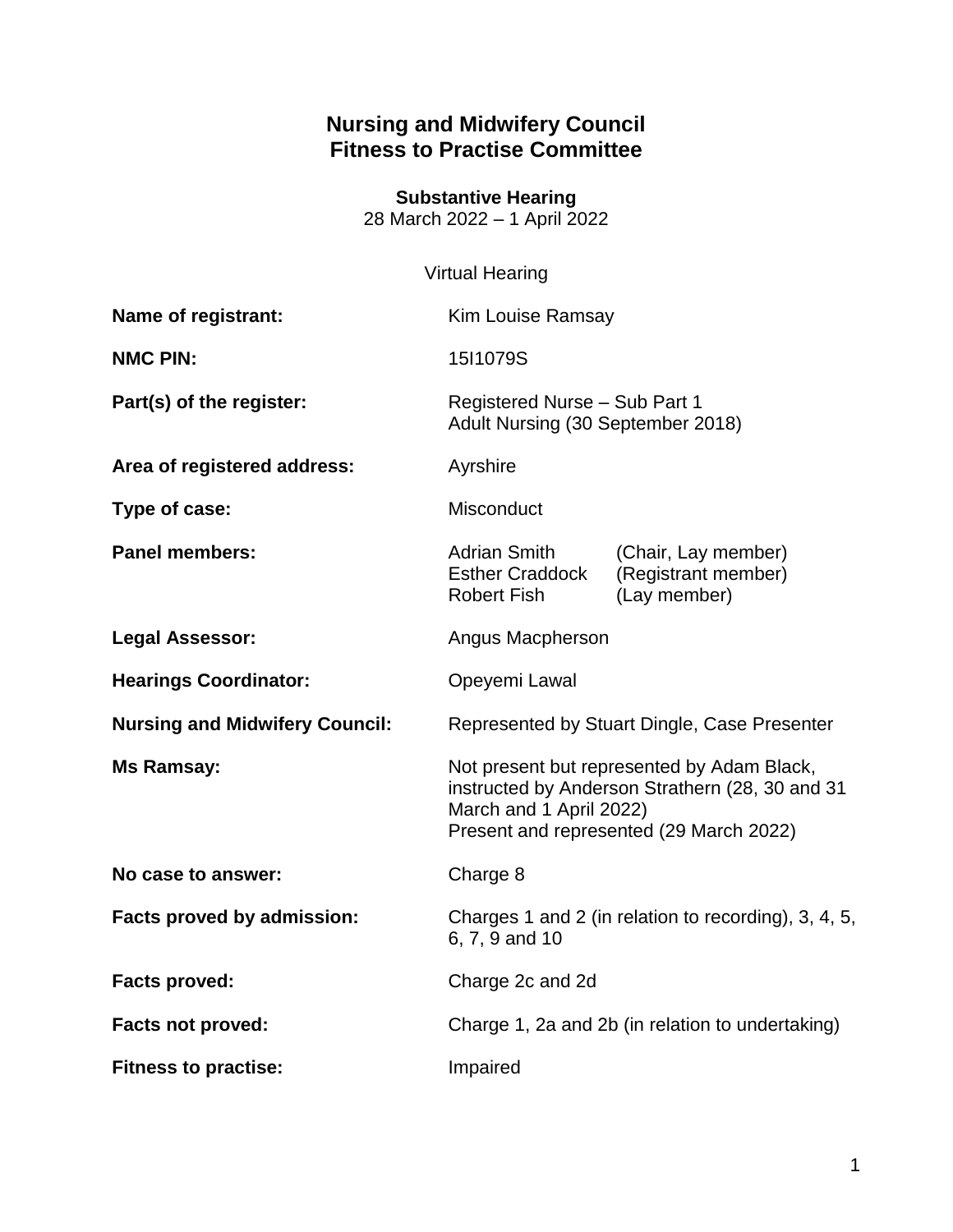## **Nursing and Midwifery Council Fitness to Practise Committee**

**Substantive Hearing** 28 March 2022 – 1 April 2022

### Virtual Hearing

| Name of registrant:                   | <b>Kim Louise Ramsay</b>                                                                                                                                            |                                                            |
|---------------------------------------|---------------------------------------------------------------------------------------------------------------------------------------------------------------------|------------------------------------------------------------|
| <b>NMC PIN:</b>                       | 15I1079S                                                                                                                                                            |                                                            |
| Part(s) of the register:              | Registered Nurse - Sub Part 1<br>Adult Nursing (30 September 2018)                                                                                                  |                                                            |
| Area of registered address:           | Ayrshire                                                                                                                                                            |                                                            |
| Type of case:                         | Misconduct                                                                                                                                                          |                                                            |
| <b>Panel members:</b>                 | <b>Adrian Smith</b><br><b>Esther Craddock</b><br><b>Robert Fish</b>                                                                                                 | (Chair, Lay member)<br>(Registrant member)<br>(Lay member) |
| <b>Legal Assessor:</b>                | Angus Macpherson                                                                                                                                                    |                                                            |
| <b>Hearings Coordinator:</b>          | Opeyemi Lawal                                                                                                                                                       |                                                            |
| <b>Nursing and Midwifery Council:</b> | Represented by Stuart Dingle, Case Presenter                                                                                                                        |                                                            |
| <b>Ms Ramsay:</b>                     | Not present but represented by Adam Black,<br>instructed by Anderson Strathern (28, 30 and 31<br>March and 1 April 2022)<br>Present and represented (29 March 2022) |                                                            |
| No case to answer:                    | Charge 8                                                                                                                                                            |                                                            |
| Facts proved by admission:            | Charges 1 and 2 (in relation to recording), 3, 4, 5,<br>6, 7, 9 and 10                                                                                              |                                                            |
| <b>Facts proved:</b>                  | Charge 2c and 2d                                                                                                                                                    |                                                            |
| <b>Facts not proved:</b>              | Charge 1, 2a and 2b (in relation to undertaking)                                                                                                                    |                                                            |
| <b>Fitness to practise:</b>           | Impaired                                                                                                                                                            |                                                            |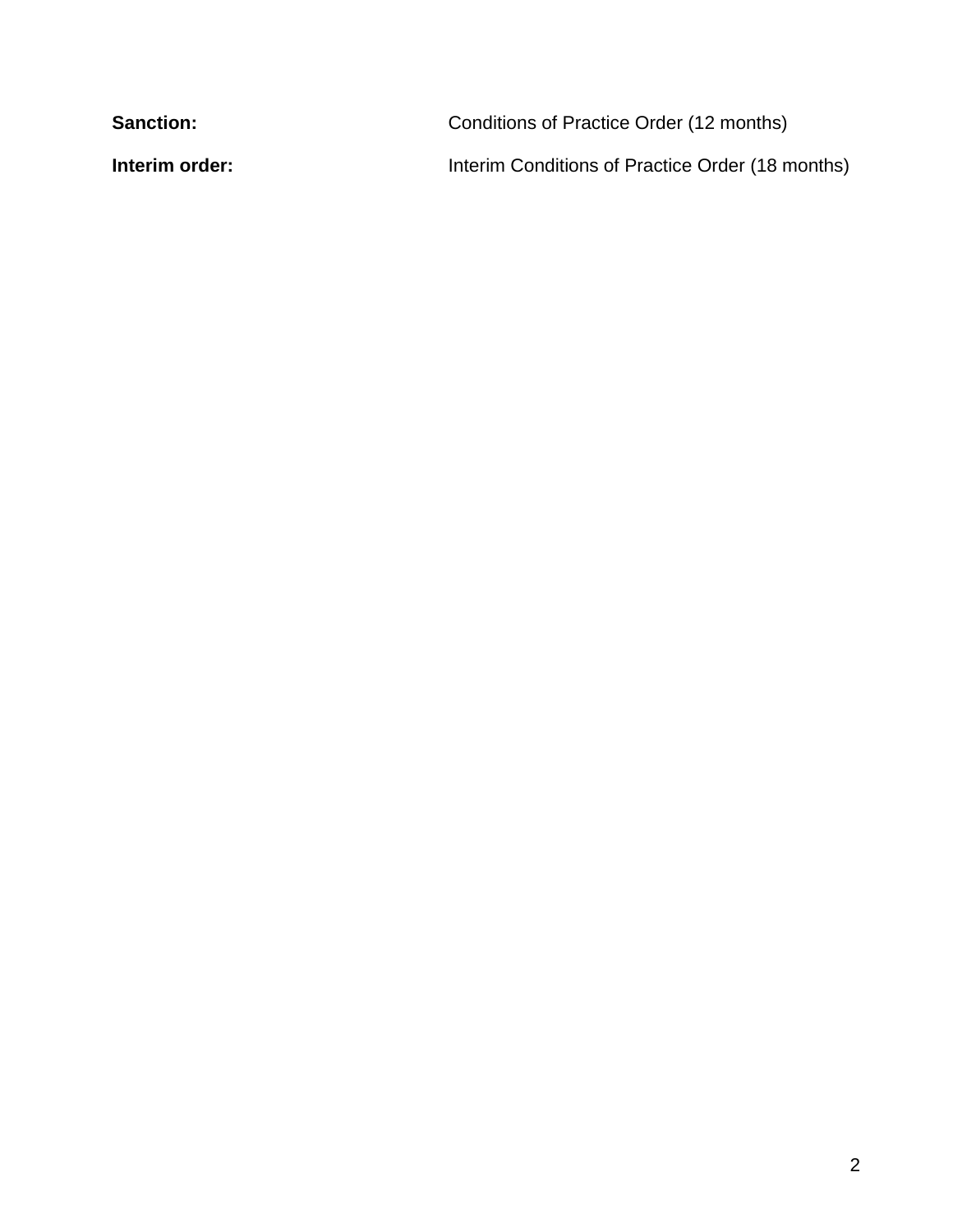| <b>Sanction:</b> | Conditions of Practice Order (12 months)         |
|------------------|--------------------------------------------------|
| Interim order:   | Interim Conditions of Practice Order (18 months) |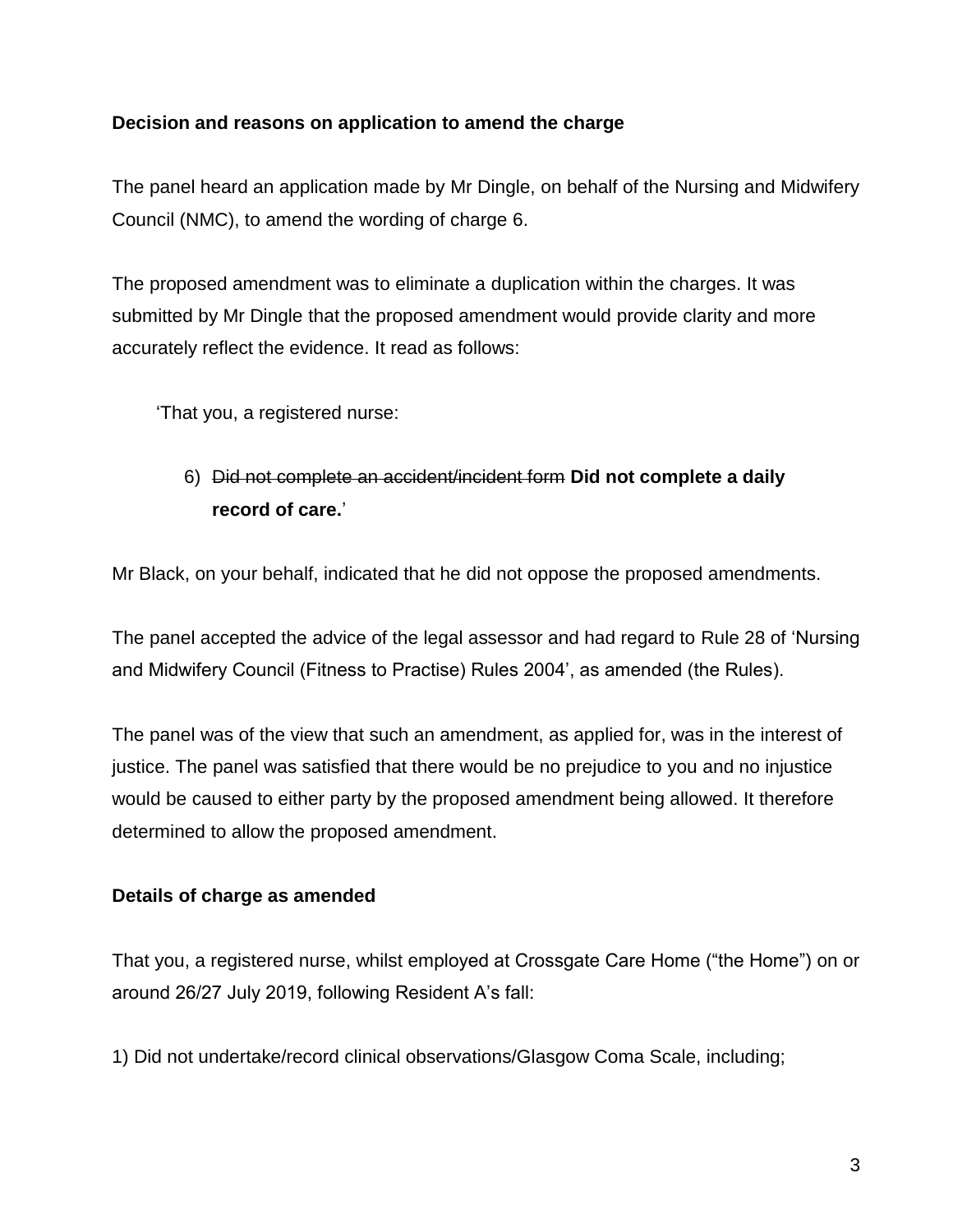### **Decision and reasons on application to amend the charge**

The panel heard an application made by Mr Dingle, on behalf of the Nursing and Midwifery Council (NMC), to amend the wording of charge 6.

The proposed amendment was to eliminate a duplication within the charges. It was submitted by Mr Dingle that the proposed amendment would provide clarity and more accurately reflect the evidence. It read as follows:

'That you, a registered nurse:

# 6) Did not complete an accident/incident form **Did not complete a daily record of care.**'

Mr Black, on your behalf, indicated that he did not oppose the proposed amendments.

The panel accepted the advice of the legal assessor and had regard to Rule 28 of 'Nursing and Midwifery Council (Fitness to Practise) Rules 2004', as amended (the Rules).

The panel was of the view that such an amendment, as applied for, was in the interest of justice. The panel was satisfied that there would be no prejudice to you and no injustice would be caused to either party by the proposed amendment being allowed. It therefore determined to allow the proposed amendment.

### **Details of charge as amended**

That you, a registered nurse, whilst employed at Crossgate Care Home ("the Home") on or around 26/27 July 2019, following Resident A's fall:

1) Did not undertake/record clinical observations/Glasgow Coma Scale, including;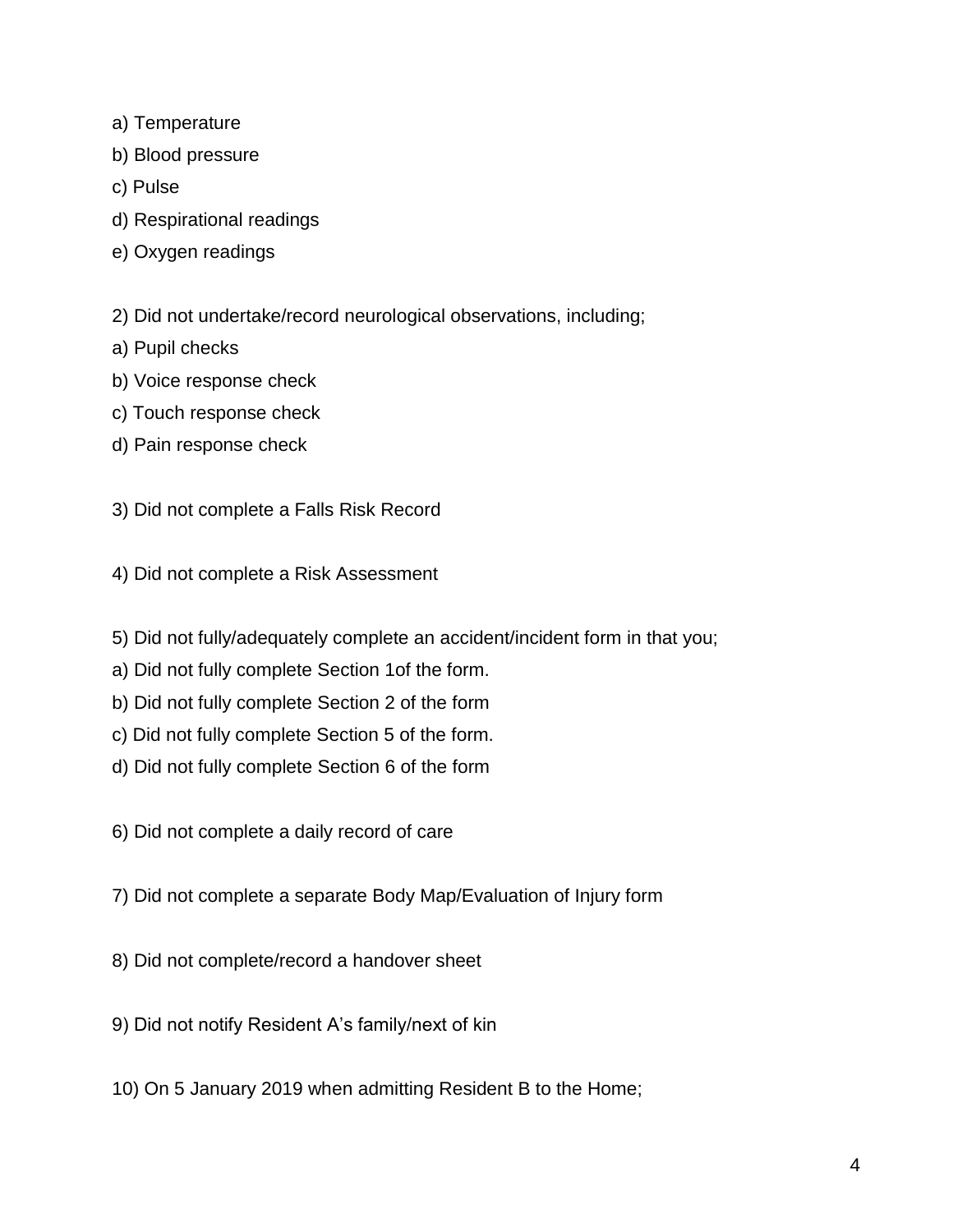- a) Temperature
- b) Blood pressure
- c) Pulse
- d) Respirational readings
- e) Oxygen readings
- 2) Did not undertake/record neurological observations, including;
- a) Pupil checks
- b) Voice response check
- c) Touch response check
- d) Pain response check
- 3) Did not complete a Falls Risk Record
- 4) Did not complete a Risk Assessment
- 5) Did not fully/adequately complete an accident/incident form in that you;
- a) Did not fully complete Section 1of the form.
- b) Did not fully complete Section 2 of the form
- c) Did not fully complete Section 5 of the form.
- d) Did not fully complete Section 6 of the form
- 6) Did not complete a daily record of care
- 7) Did not complete a separate Body Map/Evaluation of Injury form
- 8) Did not complete/record a handover sheet
- 9) Did not notify Resident A's family/next of kin
- 10) On 5 January 2019 when admitting Resident B to the Home;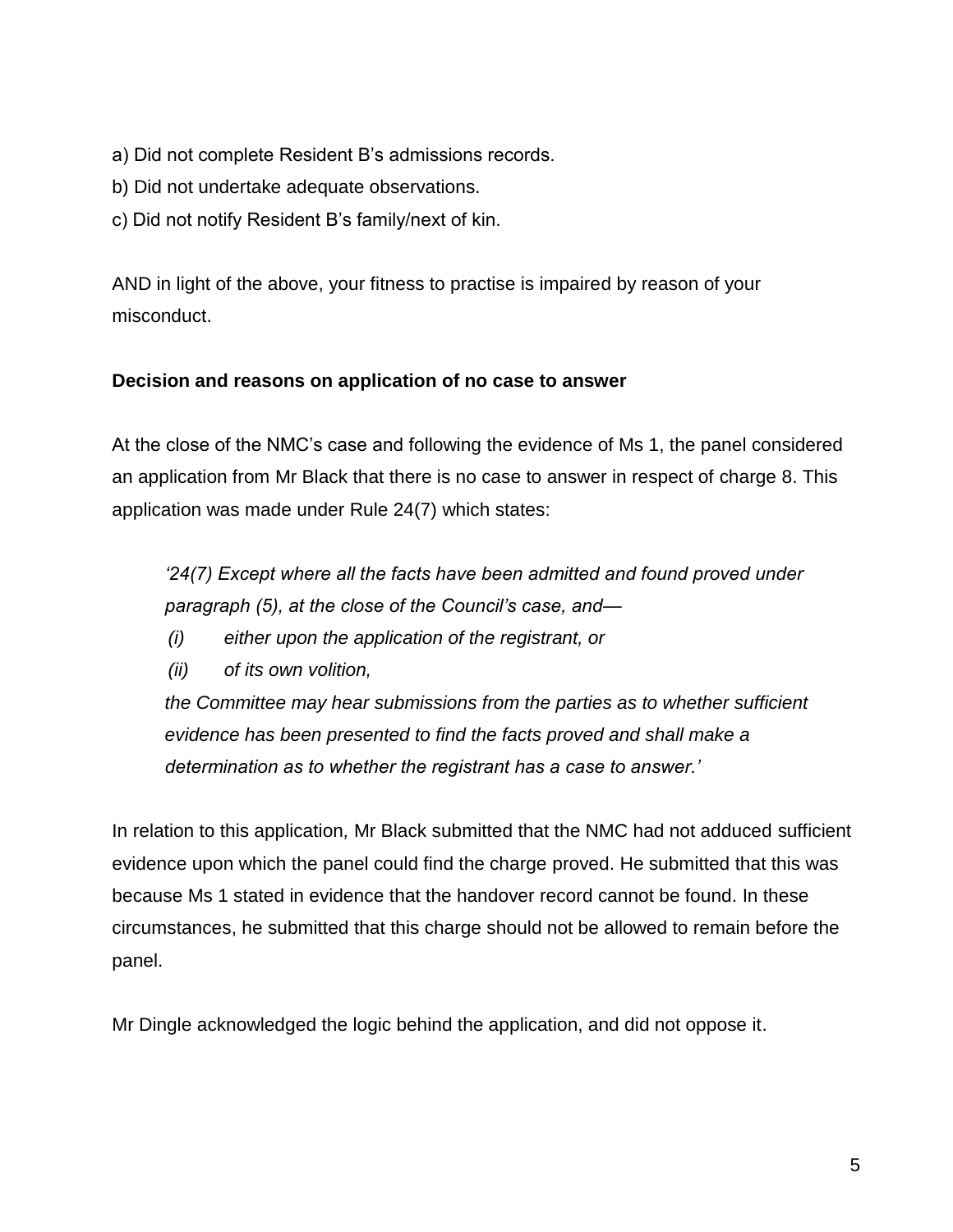- a) Did not complete Resident B's admissions records.
- b) Did not undertake adequate observations.
- c) Did not notify Resident B's family/next of kin.

AND in light of the above, your fitness to practise is impaired by reason of your misconduct.

### **Decision and reasons on application of no case to answer**

At the close of the NMC's case and following the evidence of Ms 1, the panel considered an application from Mr Black that there is no case to answer in respect of charge 8. This application was made under Rule 24(7) which states:

*'24(7) Except where all the facts have been admitted and found proved under paragraph (5), at the close of the Council's case, and—*

- *(i) either upon the application of the registrant, or*
- *(ii) of its own volition,*

*the Committee may hear submissions from the parties as to whether sufficient evidence has been presented to find the facts proved and shall make a determination as to whether the registrant has a case to answer.'*

In relation to this application*,* Mr Black submitted that the NMC had not adduced sufficient evidence upon which the panel could find the charge proved. He submitted that this was because Ms 1 stated in evidence that the handover record cannot be found. In these circumstances, he submitted that this charge should not be allowed to remain before the panel.

Mr Dingle acknowledged the logic behind the application, and did not oppose it.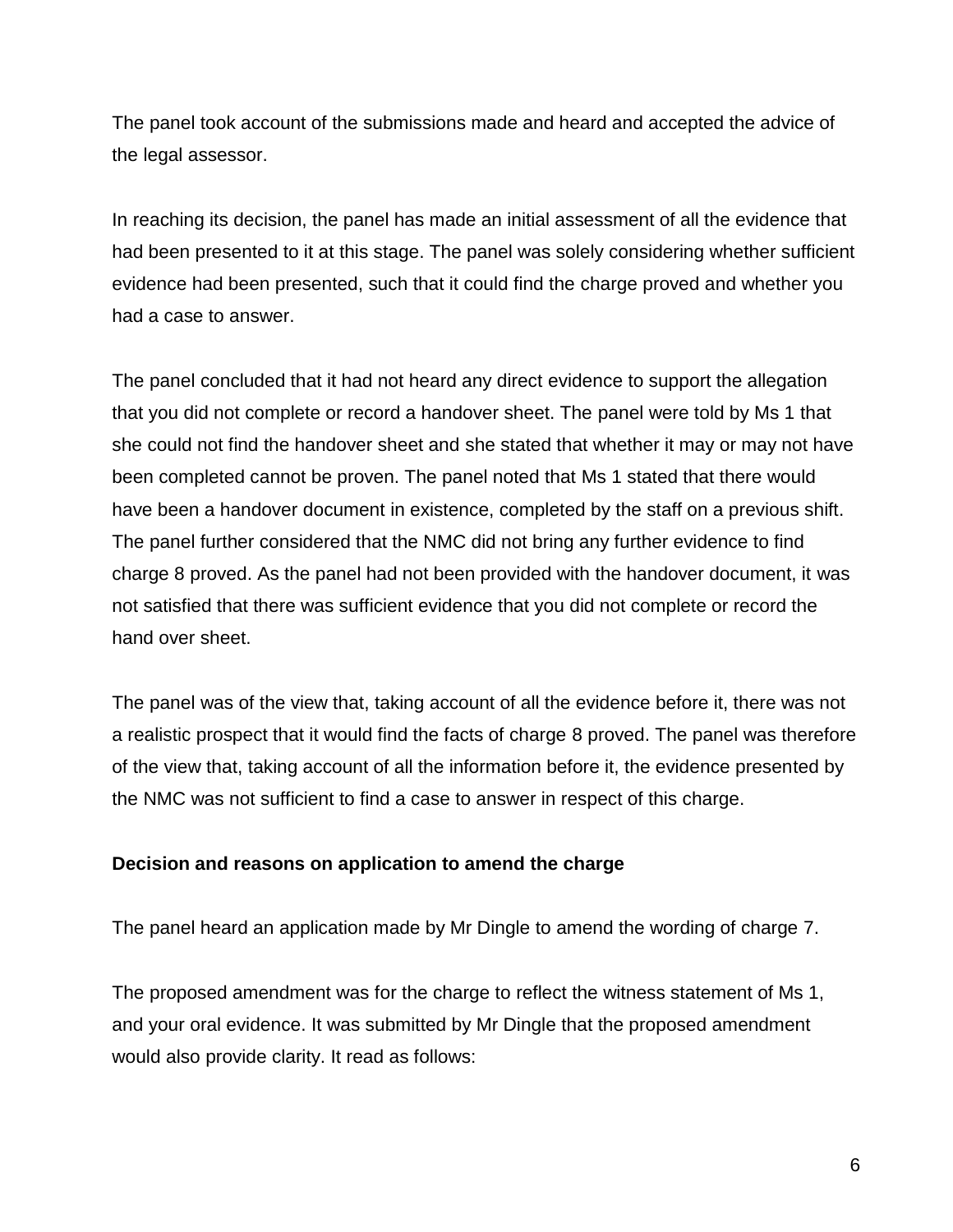The panel took account of the submissions made and heard and accepted the advice of the legal assessor.

In reaching its decision, the panel has made an initial assessment of all the evidence that had been presented to it at this stage. The panel was solely considering whether sufficient evidence had been presented, such that it could find the charge proved and whether you had a case to answer.

The panel concluded that it had not heard any direct evidence to support the allegation that you did not complete or record a handover sheet. The panel were told by Ms 1 that she could not find the handover sheet and she stated that whether it may or may not have been completed cannot be proven. The panel noted that Ms 1 stated that there would have been a handover document in existence, completed by the staff on a previous shift. The panel further considered that the NMC did not bring any further evidence to find charge 8 proved. As the panel had not been provided with the handover document, it was not satisfied that there was sufficient evidence that you did not complete or record the hand over sheet.

The panel was of the view that, taking account of all the evidence before it, there was not a realistic prospect that it would find the facts of charge 8 proved. The panel was therefore of the view that, taking account of all the information before it, the evidence presented by the NMC was not sufficient to find a case to answer in respect of this charge.

### **Decision and reasons on application to amend the charge**

The panel heard an application made by Mr Dingle to amend the wording of charge 7.

The proposed amendment was for the charge to reflect the witness statement of Ms 1, and your oral evidence. It was submitted by Mr Dingle that the proposed amendment would also provide clarity. It read as follows: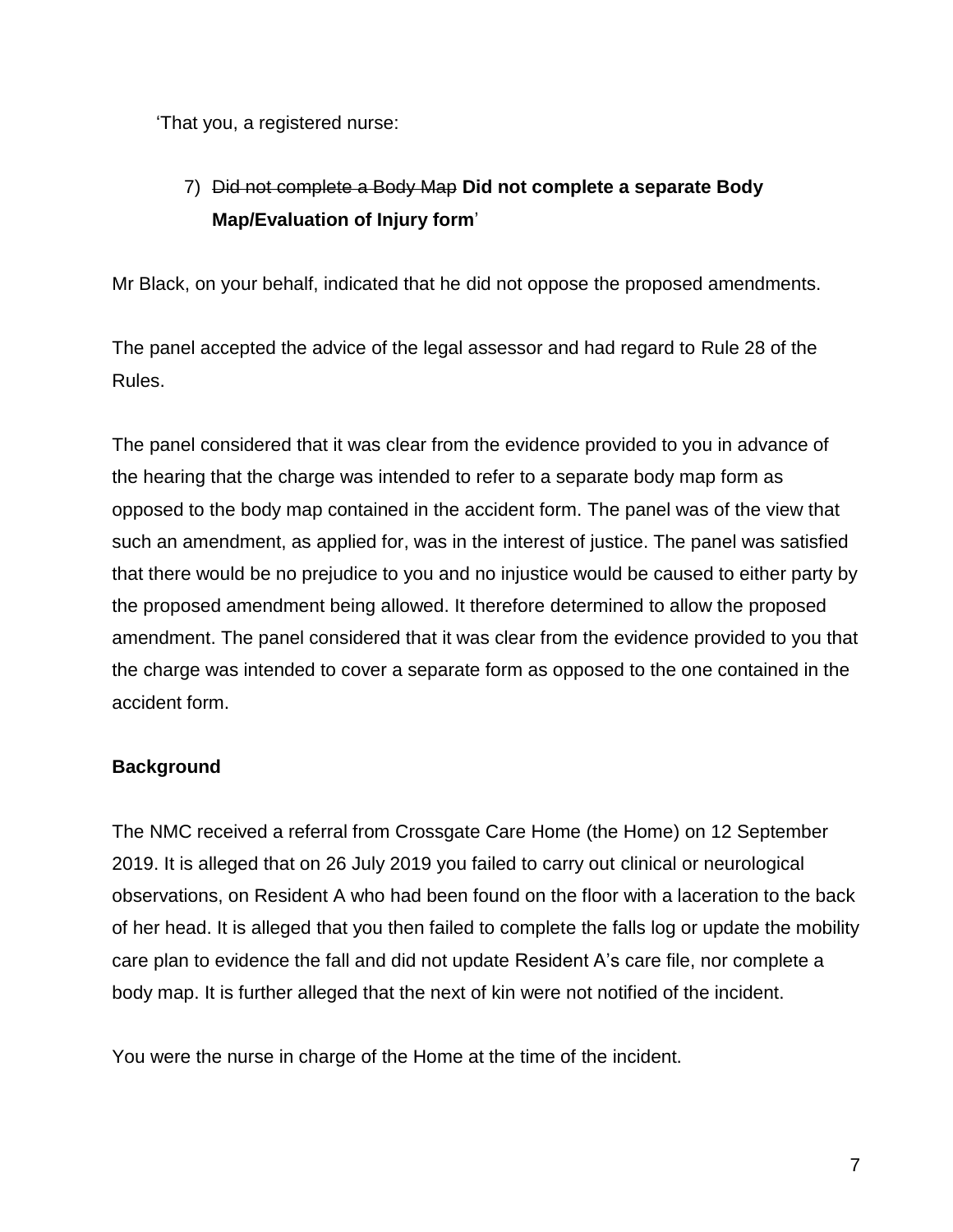'That you, a registered nurse:

# 7) Did not complete a Body Map **Did not complete a separate Body Map/Evaluation of Injury form**'

Mr Black, on your behalf, indicated that he did not oppose the proposed amendments.

The panel accepted the advice of the legal assessor and had regard to Rule 28 of the Rules.

The panel considered that it was clear from the evidence provided to you in advance of the hearing that the charge was intended to refer to a separate body map form as opposed to the body map contained in the accident form. The panel was of the view that such an amendment, as applied for, was in the interest of justice. The panel was satisfied that there would be no prejudice to you and no injustice would be caused to either party by the proposed amendment being allowed. It therefore determined to allow the proposed amendment. The panel considered that it was clear from the evidence provided to you that the charge was intended to cover a separate form as opposed to the one contained in the accident form.

### **Background**

The NMC received a referral from Crossgate Care Home (the Home) on 12 September 2019. It is alleged that on 26 July 2019 you failed to carry out clinical or neurological observations, on Resident A who had been found on the floor with a laceration to the back of her head. It is alleged that you then failed to complete the falls log or update the mobility care plan to evidence the fall and did not update Resident A's care file, nor complete a body map. It is further alleged that the next of kin were not notified of the incident.

You were the nurse in charge of the Home at the time of the incident.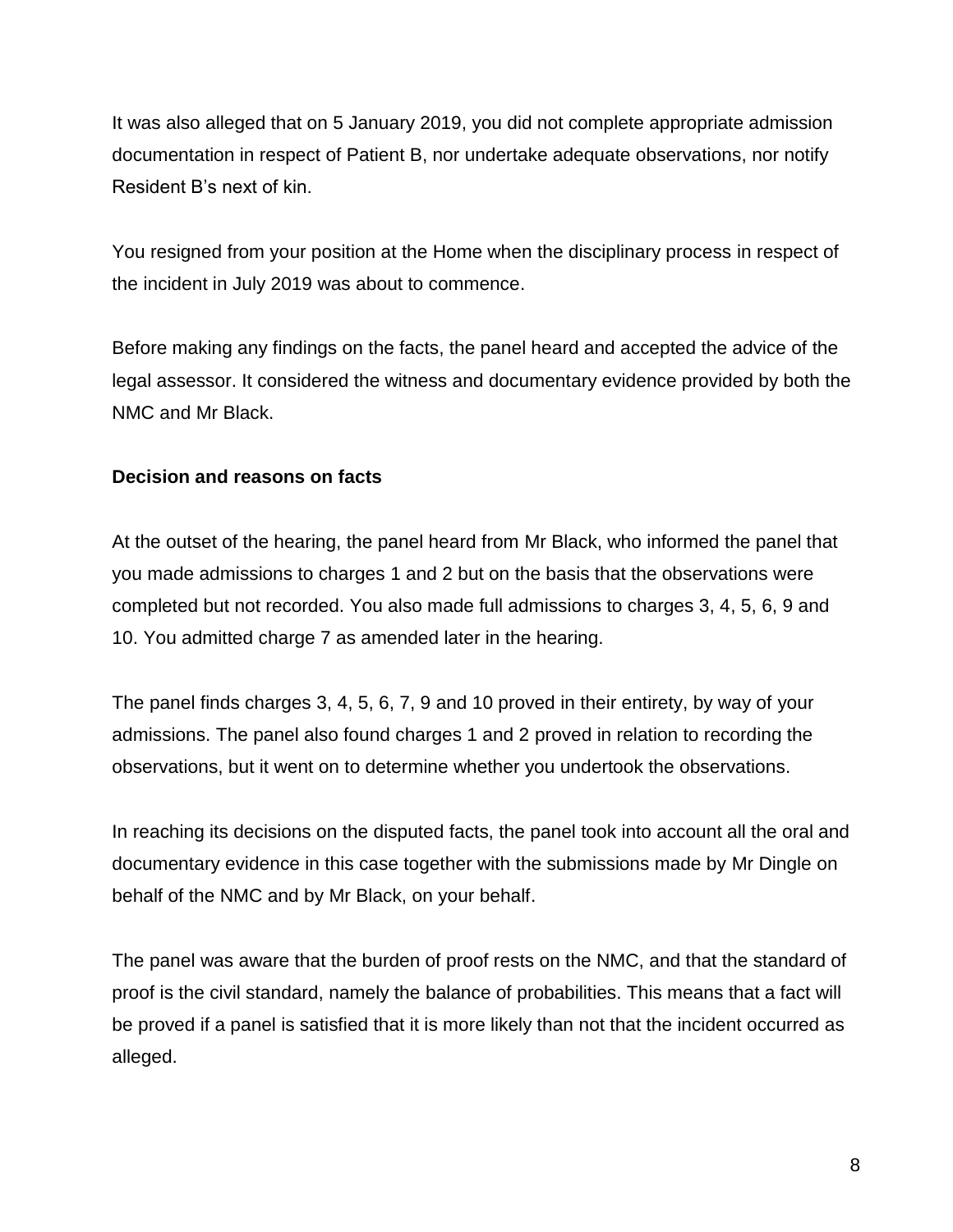It was also alleged that on 5 January 2019, you did not complete appropriate admission documentation in respect of Patient B, nor undertake adequate observations, nor notify Resident B's next of kin.

You resigned from your position at the Home when the disciplinary process in respect of the incident in July 2019 was about to commence.

Before making any findings on the facts, the panel heard and accepted the advice of the legal assessor. It considered the witness and documentary evidence provided by both the NMC and Mr Black.

### **Decision and reasons on facts**

At the outset of the hearing, the panel heard from Mr Black, who informed the panel that you made admissions to charges 1 and 2 but on the basis that the observations were completed but not recorded. You also made full admissions to charges 3, 4, 5, 6, 9 and 10. You admitted charge 7 as amended later in the hearing.

The panel finds charges 3, 4, 5, 6, 7, 9 and 10 proved in their entirety, by way of your admissions. The panel also found charges 1 and 2 proved in relation to recording the observations, but it went on to determine whether you undertook the observations.

In reaching its decisions on the disputed facts, the panel took into account all the oral and documentary evidence in this case together with the submissions made by Mr Dingle on behalf of the NMC and by Mr Black, on your behalf.

The panel was aware that the burden of proof rests on the NMC, and that the standard of proof is the civil standard, namely the balance of probabilities. This means that a fact will be proved if a panel is satisfied that it is more likely than not that the incident occurred as alleged.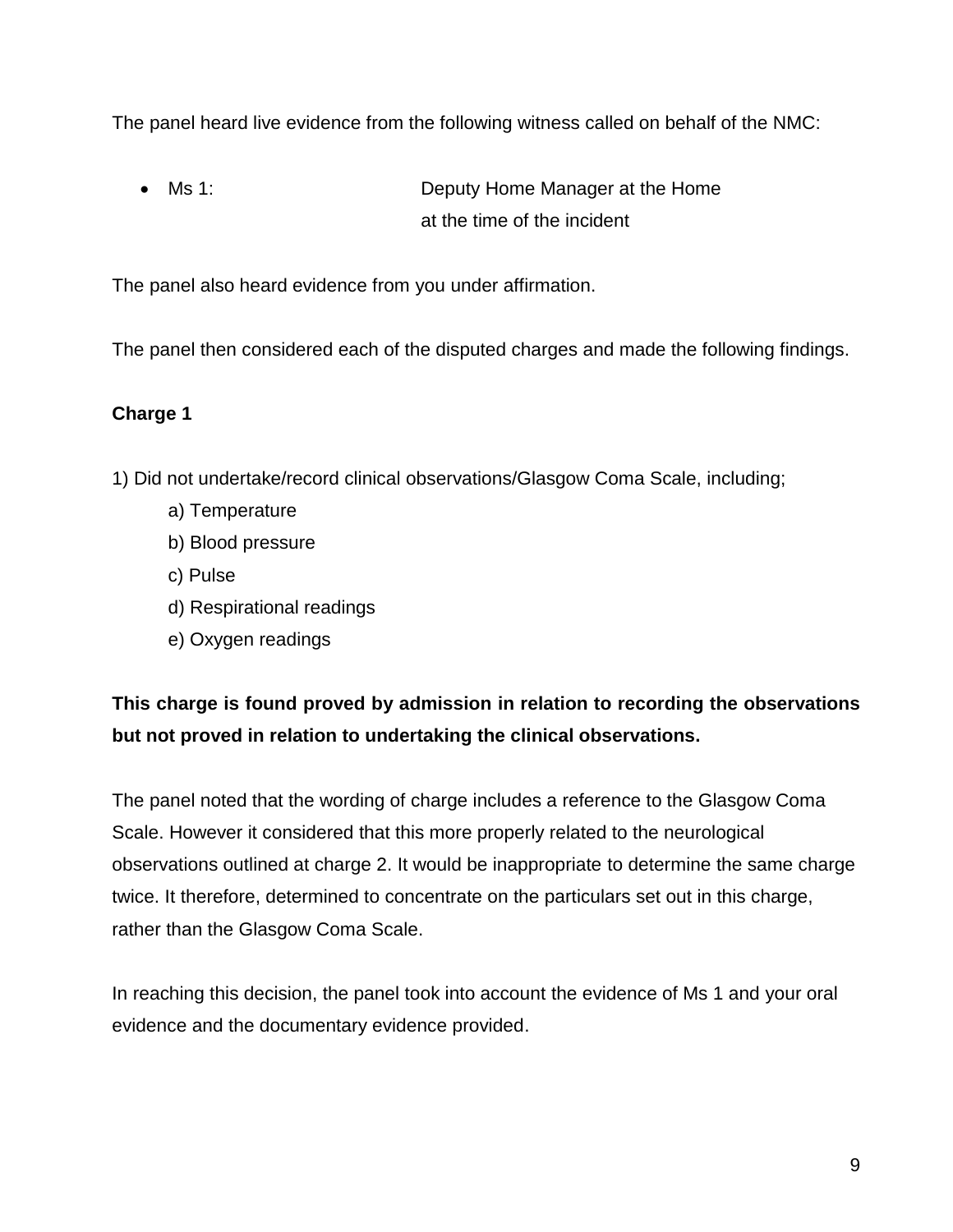The panel heard live evidence from the following witness called on behalf of the NMC:

 Ms 1: Deputy Home Manager at the Home at the time of the incident

The panel also heard evidence from you under affirmation.

The panel then considered each of the disputed charges and made the following findings.

### **Charge 1**

1) Did not undertake/record clinical observations/Glasgow Coma Scale, including;

- a) Temperature
- b) Blood pressure
- c) Pulse
- d) Respirational readings
- e) Oxygen readings

**This charge is found proved by admission in relation to recording the observations but not proved in relation to undertaking the clinical observations.**

The panel noted that the wording of charge includes a reference to the Glasgow Coma Scale. However it considered that this more properly related to the neurological observations outlined at charge 2. It would be inappropriate to determine the same charge twice. It therefore, determined to concentrate on the particulars set out in this charge, rather than the Glasgow Coma Scale.

In reaching this decision, the panel took into account the evidence of Ms 1 and your oral evidence and the documentary evidence provided.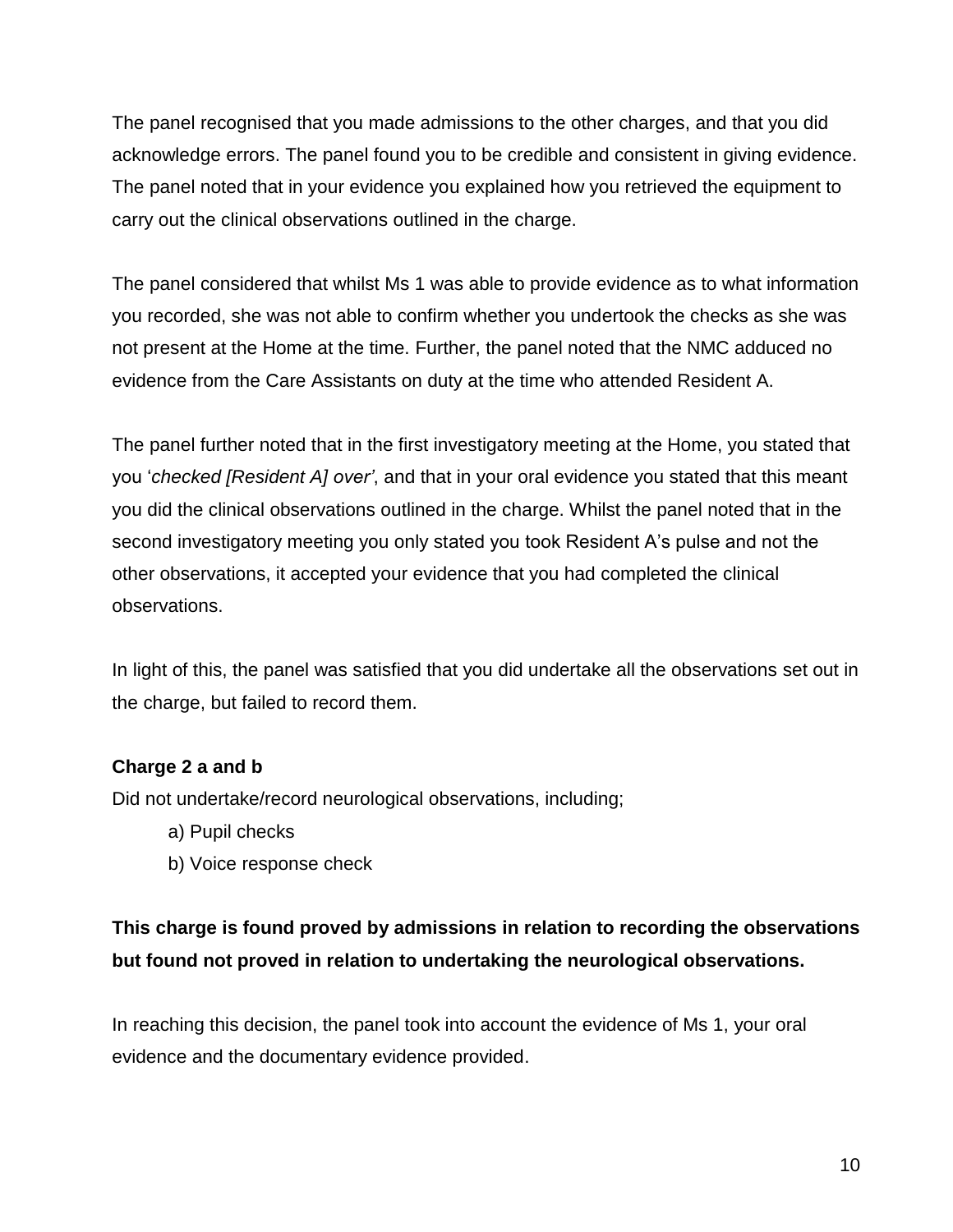The panel recognised that you made admissions to the other charges, and that you did acknowledge errors. The panel found you to be credible and consistent in giving evidence. The panel noted that in your evidence you explained how you retrieved the equipment to carry out the clinical observations outlined in the charge.

The panel considered that whilst Ms 1 was able to provide evidence as to what information you recorded, she was not able to confirm whether you undertook the checks as she was not present at the Home at the time. Further, the panel noted that the NMC adduced no evidence from the Care Assistants on duty at the time who attended Resident A.

The panel further noted that in the first investigatory meeting at the Home, you stated that you '*checked [Resident A] over'*, and that in your oral evidence you stated that this meant you did the clinical observations outlined in the charge. Whilst the panel noted that in the second investigatory meeting you only stated you took Resident A's pulse and not the other observations, it accepted your evidence that you had completed the clinical observations.

In light of this, the panel was satisfied that you did undertake all the observations set out in the charge, but failed to record them.

### **Charge 2 a and b**

Did not undertake/record neurological observations, including;

- a) Pupil checks
- b) Voice response check

# **This charge is found proved by admissions in relation to recording the observations but found not proved in relation to undertaking the neurological observations.**

In reaching this decision, the panel took into account the evidence of Ms 1, your oral evidence and the documentary evidence provided.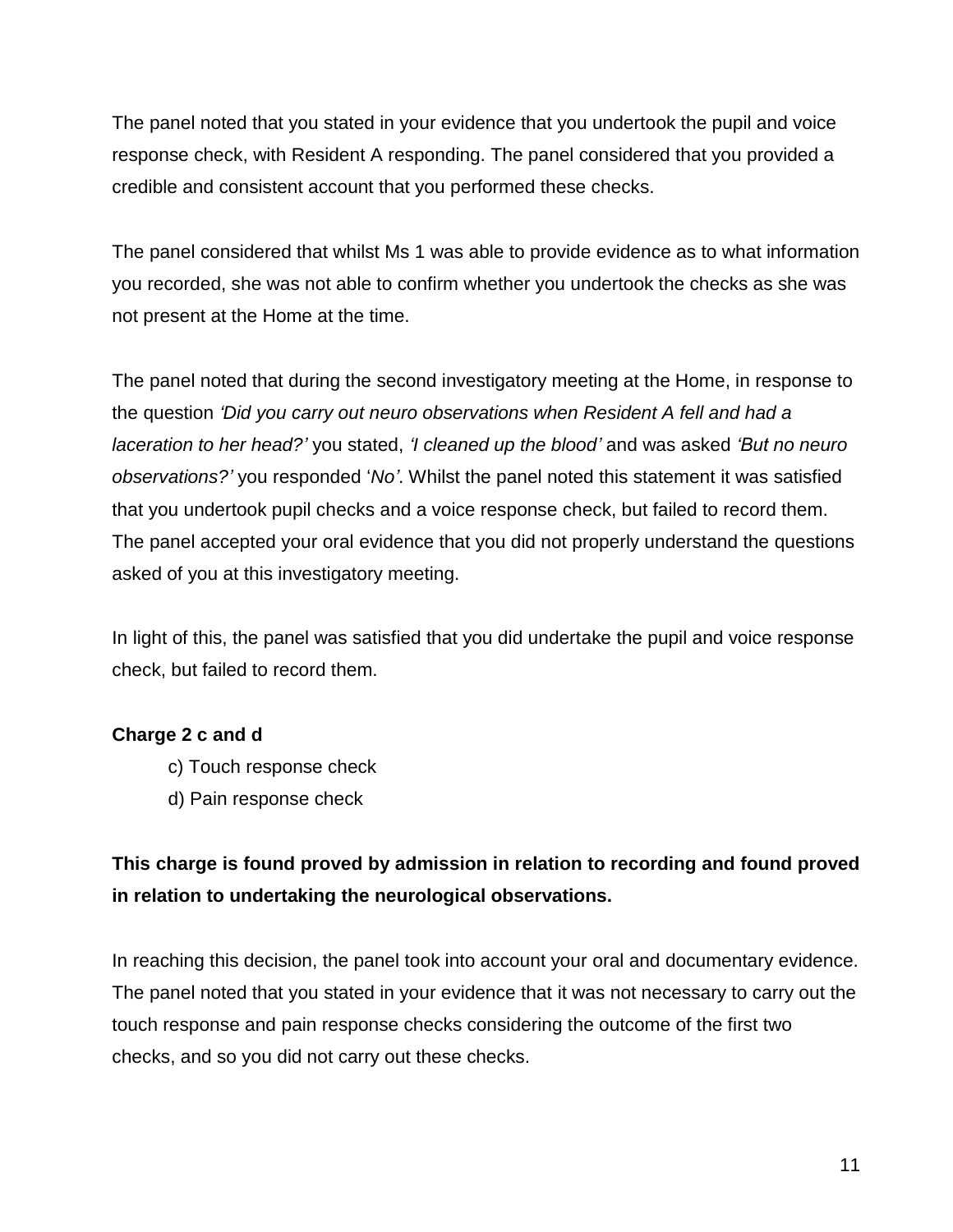The panel noted that you stated in your evidence that you undertook the pupil and voice response check, with Resident A responding. The panel considered that you provided a credible and consistent account that you performed these checks.

The panel considered that whilst Ms 1 was able to provide evidence as to what information you recorded, she was not able to confirm whether you undertook the checks as she was not present at the Home at the time.

The panel noted that during the second investigatory meeting at the Home, in response to the question *'Did you carry out neuro observations when Resident A fell and had a laceration to her head?'* you stated, *'I cleaned up the blood'* and was asked *'But no neuro observations?'* you responded '*No'*. Whilst the panel noted this statement it was satisfied that you undertook pupil checks and a voice response check, but failed to record them. The panel accepted your oral evidence that you did not properly understand the questions asked of you at this investigatory meeting.

In light of this, the panel was satisfied that you did undertake the pupil and voice response check, but failed to record them.

### **Charge 2 c and d**

- c) Touch response check
- d) Pain response check

## **This charge is found proved by admission in relation to recording and found proved in relation to undertaking the neurological observations.**

In reaching this decision, the panel took into account your oral and documentary evidence. The panel noted that you stated in your evidence that it was not necessary to carry out the touch response and pain response checks considering the outcome of the first two checks, and so you did not carry out these checks.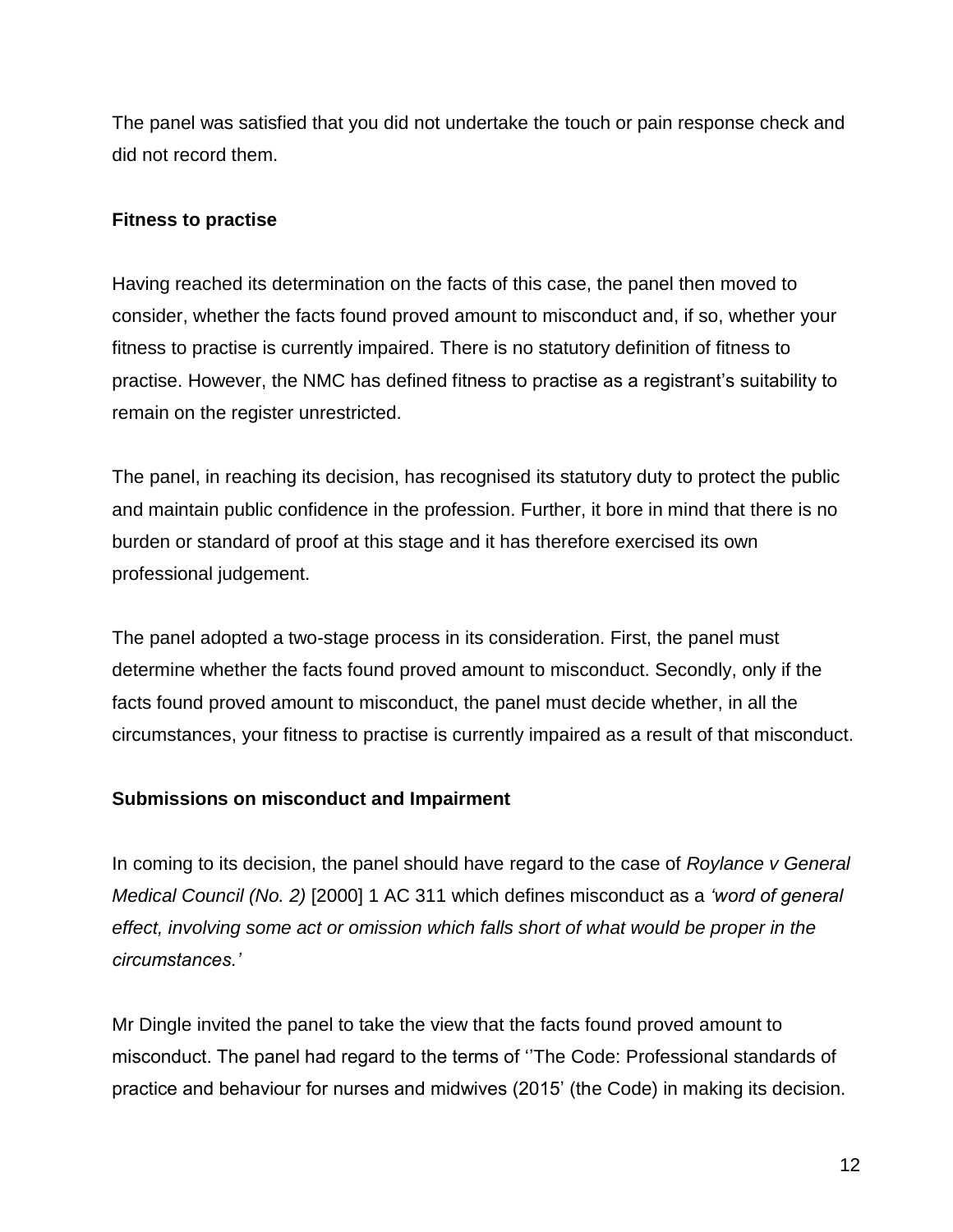The panel was satisfied that you did not undertake the touch or pain response check and did not record them.

### **Fitness to practise**

Having reached its determination on the facts of this case, the panel then moved to consider, whether the facts found proved amount to misconduct and, if so, whether your fitness to practise is currently impaired. There is no statutory definition of fitness to practise. However, the NMC has defined fitness to practise as a registrant's suitability to remain on the register unrestricted.

The panel, in reaching its decision, has recognised its statutory duty to protect the public and maintain public confidence in the profession. Further, it bore in mind that there is no burden or standard of proof at this stage and it has therefore exercised its own professional judgement.

The panel adopted a two-stage process in its consideration. First, the panel must determine whether the facts found proved amount to misconduct. Secondly, only if the facts found proved amount to misconduct, the panel must decide whether, in all the circumstances, your fitness to practise is currently impaired as a result of that misconduct.

### **Submissions on misconduct and Impairment**

In coming to its decision, the panel should have regard to the case of *Roylance v General Medical Council (No. 2)* [2000] 1 AC 311 which defines misconduct as a *'word of general effect, involving some act or omission which falls short of what would be proper in the circumstances.'*

Mr Dingle invited the panel to take the view that the facts found proved amount to misconduct. The panel had regard to the terms of ''The Code: Professional standards of practice and behaviour for nurses and midwives (2015' (the Code) in making its decision.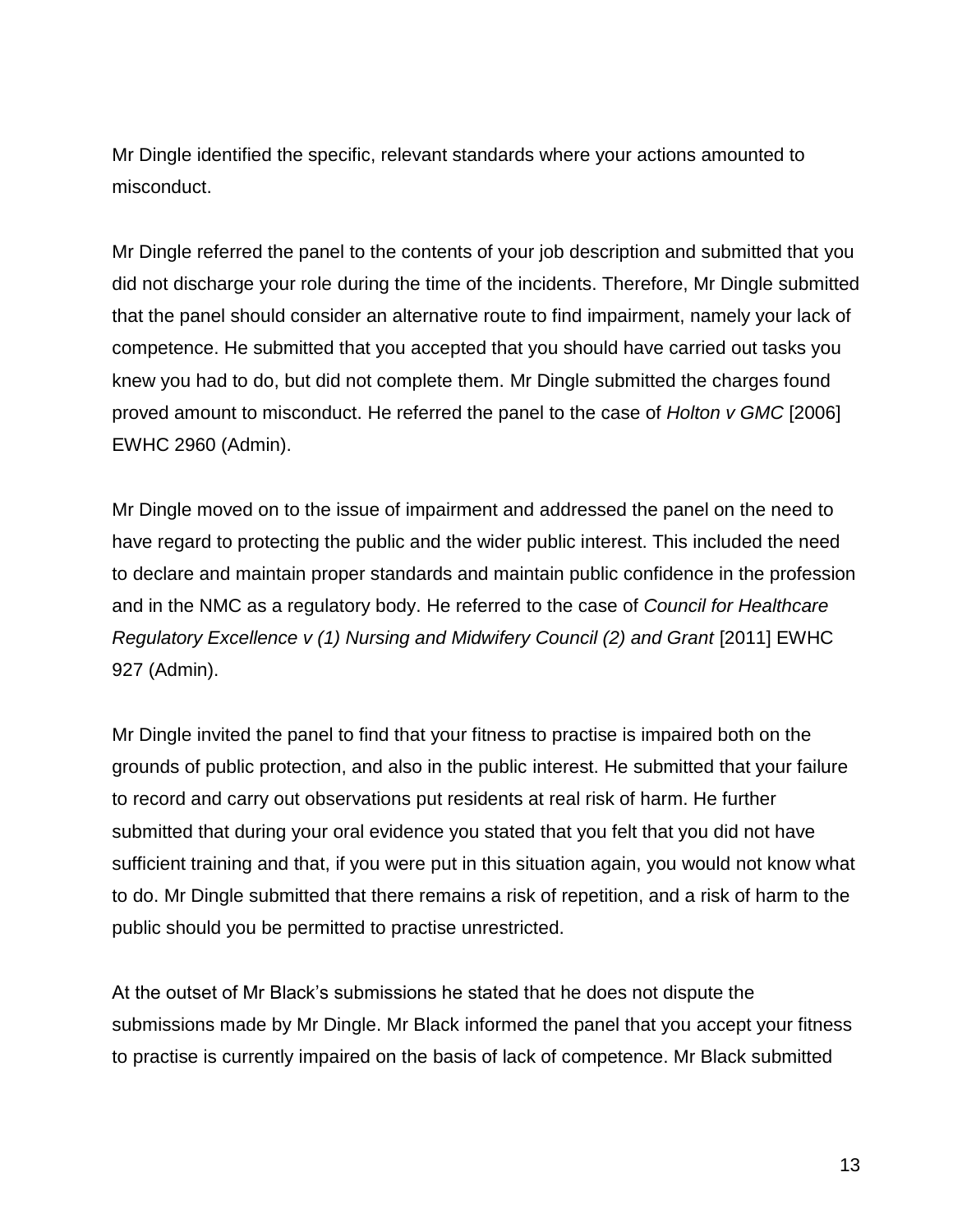Mr Dingle identified the specific, relevant standards where your actions amounted to misconduct.

Mr Dingle referred the panel to the contents of your job description and submitted that you did not discharge your role during the time of the incidents. Therefore, Mr Dingle submitted that the panel should consider an alternative route to find impairment, namely your lack of competence. He submitted that you accepted that you should have carried out tasks you knew you had to do, but did not complete them. Mr Dingle submitted the charges found proved amount to misconduct. He referred the panel to the case of *Holton v GMC* [2006] EWHC 2960 (Admin).

Mr Dingle moved on to the issue of impairment and addressed the panel on the need to have regard to protecting the public and the wider public interest. This included the need to declare and maintain proper standards and maintain public confidence in the profession and in the NMC as a regulatory body. He referred to the case of *Council for Healthcare Regulatory Excellence v (1) Nursing and Midwifery Council (2) and Grant [2011] EWHC* 927 (Admin).

Mr Dingle invited the panel to find that your fitness to practise is impaired both on the grounds of public protection, and also in the public interest. He submitted that your failure to record and carry out observations put residents at real risk of harm. He further submitted that during your oral evidence you stated that you felt that you did not have sufficient training and that, if you were put in this situation again, you would not know what to do. Mr Dingle submitted that there remains a risk of repetition, and a risk of harm to the public should you be permitted to practise unrestricted.

At the outset of Mr Black's submissions he stated that he does not dispute the submissions made by Mr Dingle. Mr Black informed the panel that you accept your fitness to practise is currently impaired on the basis of lack of competence. Mr Black submitted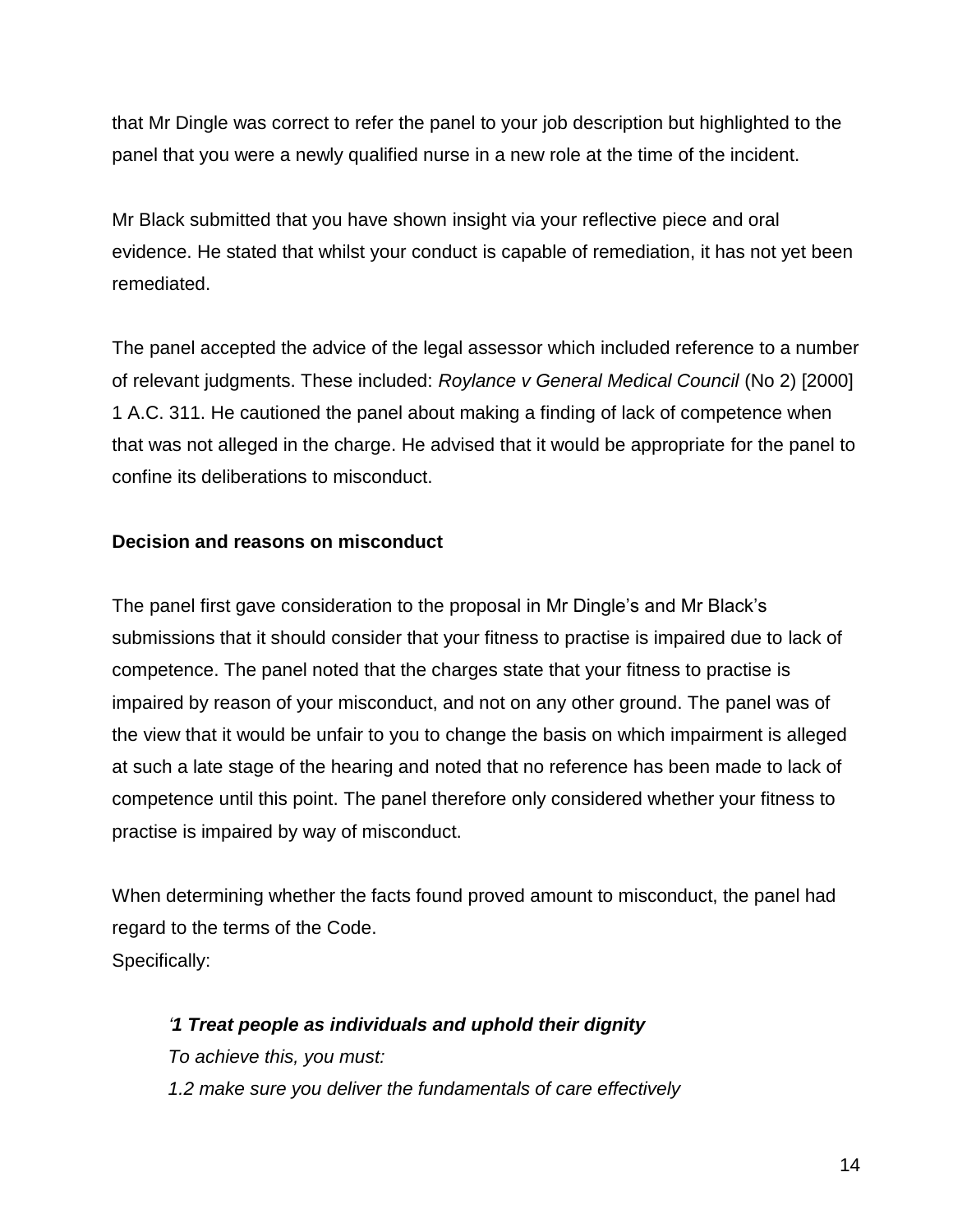that Mr Dingle was correct to refer the panel to your job description but highlighted to the panel that you were a newly qualified nurse in a new role at the time of the incident.

Mr Black submitted that you have shown insight via your reflective piece and oral evidence. He stated that whilst your conduct is capable of remediation, it has not yet been remediated.

The panel accepted the advice of the legal assessor which included reference to a number of relevant judgments. These included: *Roylance v General Medical Council* (No 2) [2000] 1 A.C. 311. He cautioned the panel about making a finding of lack of competence when that was not alleged in the charge. He advised that it would be appropriate for the panel to confine its deliberations to misconduct.

### **Decision and reasons on misconduct**

The panel first gave consideration to the proposal in Mr Dingle's and Mr Black's submissions that it should consider that your fitness to practise is impaired due to lack of competence. The panel noted that the charges state that your fitness to practise is impaired by reason of your misconduct, and not on any other ground. The panel was of the view that it would be unfair to you to change the basis on which impairment is alleged at such a late stage of the hearing and noted that no reference has been made to lack of competence until this point. The panel therefore only considered whether your fitness to practise is impaired by way of misconduct.

When determining whether the facts found proved amount to misconduct, the panel had regard to the terms of the Code. Specifically:

*'1 Treat people as individuals and uphold their dignity To achieve this, you must: 1.2 make sure you deliver the fundamentals of care effectively*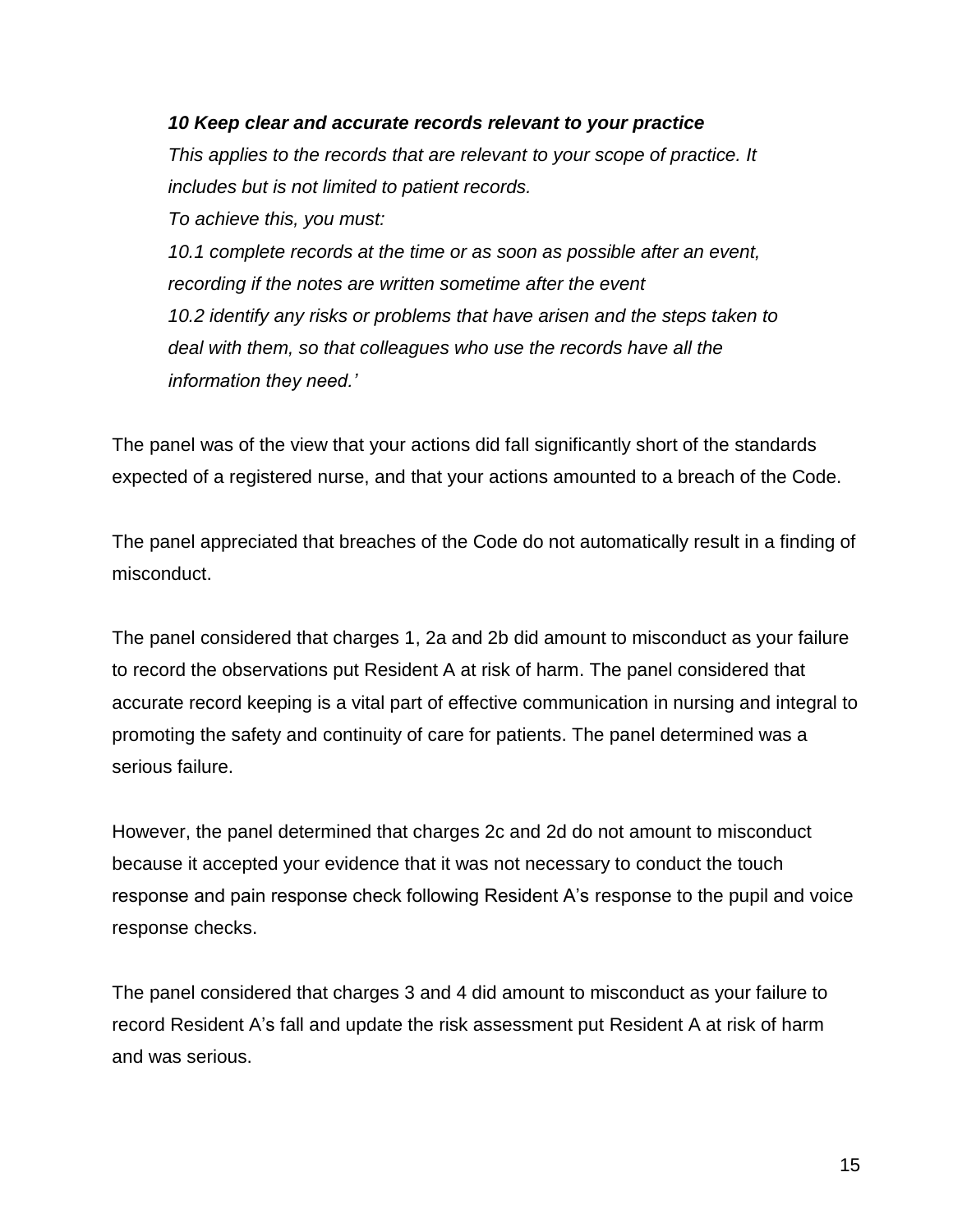### *10 Keep clear and accurate records relevant to your practice*

*This applies to the records that are relevant to your scope of practice. It includes but is not limited to patient records. To achieve this, you must:*

*10.1 complete records at the time or as soon as possible after an event, recording if the notes are written sometime after the event 10.2 identify any risks or problems that have arisen and the steps taken to deal with them, so that colleagues who use the records have all the information they need.'*

The panel was of the view that your actions did fall significantly short of the standards expected of a registered nurse, and that your actions amounted to a breach of the Code.

The panel appreciated that breaches of the Code do not automatically result in a finding of misconduct.

The panel considered that charges 1, 2a and 2b did amount to misconduct as your failure to record the observations put Resident A at risk of harm. The panel considered that accurate record keeping is a vital part of effective communication in nursing and integral to promoting the safety and continuity of care for patients. The panel determined was a serious failure.

However, the panel determined that charges 2c and 2d do not amount to misconduct because it accepted your evidence that it was not necessary to conduct the touch response and pain response check following Resident A's response to the pupil and voice response checks.

The panel considered that charges 3 and 4 did amount to misconduct as your failure to record Resident A's fall and update the risk assessment put Resident A at risk of harm and was serious.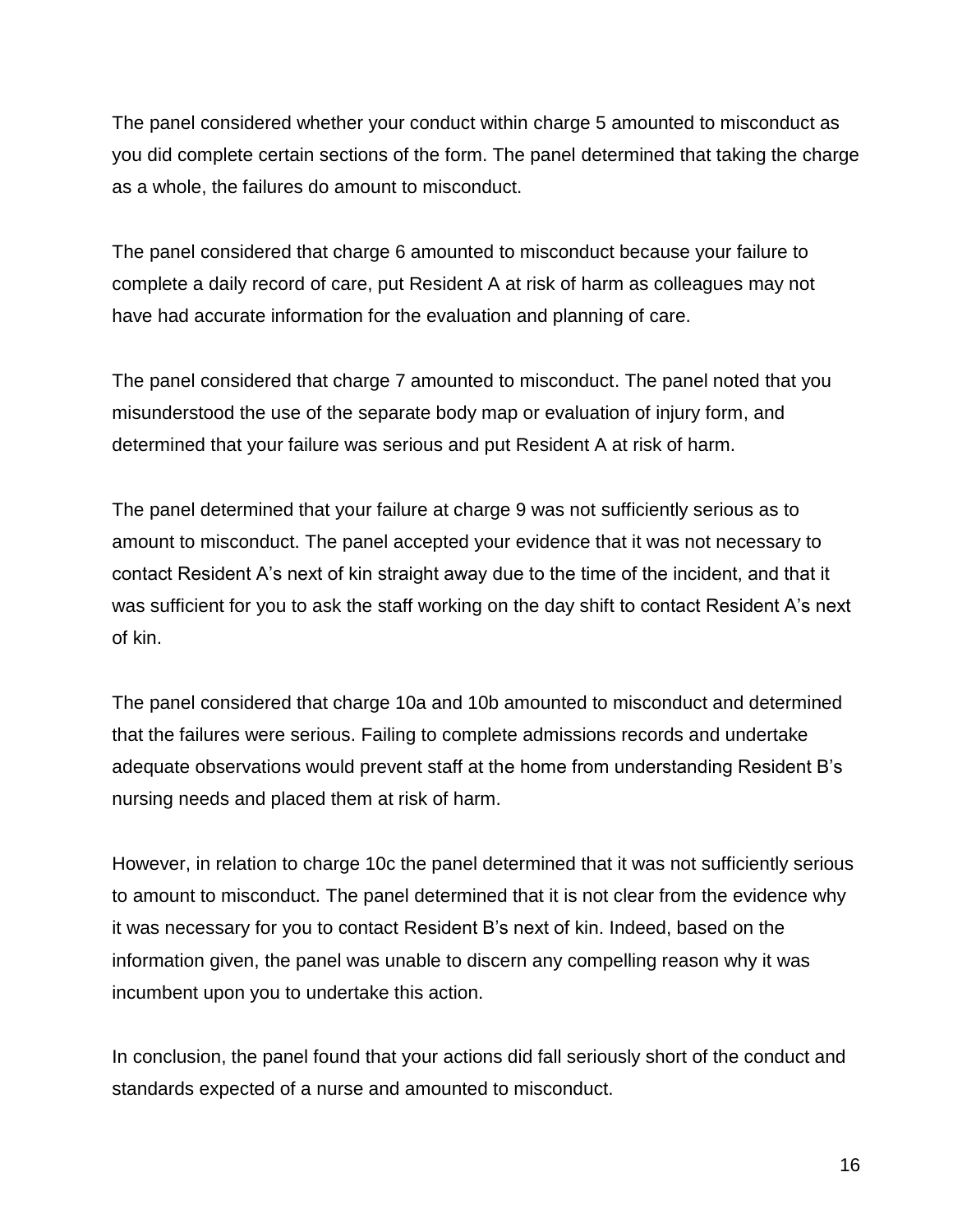The panel considered whether your conduct within charge 5 amounted to misconduct as you did complete certain sections of the form. The panel determined that taking the charge as a whole, the failures do amount to misconduct.

The panel considered that charge 6 amounted to misconduct because your failure to complete a daily record of care, put Resident A at risk of harm as colleagues may not have had accurate information for the evaluation and planning of care.

The panel considered that charge 7 amounted to misconduct. The panel noted that you misunderstood the use of the separate body map or evaluation of injury form, and determined that your failure was serious and put Resident A at risk of harm.

The panel determined that your failure at charge 9 was not sufficiently serious as to amount to misconduct. The panel accepted your evidence that it was not necessary to contact Resident A's next of kin straight away due to the time of the incident, and that it was sufficient for you to ask the staff working on the day shift to contact Resident A's next of kin.

The panel considered that charge 10a and 10b amounted to misconduct and determined that the failures were serious. Failing to complete admissions records and undertake adequate observations would prevent staff at the home from understanding Resident B's nursing needs and placed them at risk of harm.

However, in relation to charge 10c the panel determined that it was not sufficiently serious to amount to misconduct. The panel determined that it is not clear from the evidence why it was necessary for you to contact Resident B's next of kin. Indeed, based on the information given, the panel was unable to discern any compelling reason why it was incumbent upon you to undertake this action.

In conclusion, the panel found that your actions did fall seriously short of the conduct and standards expected of a nurse and amounted to misconduct.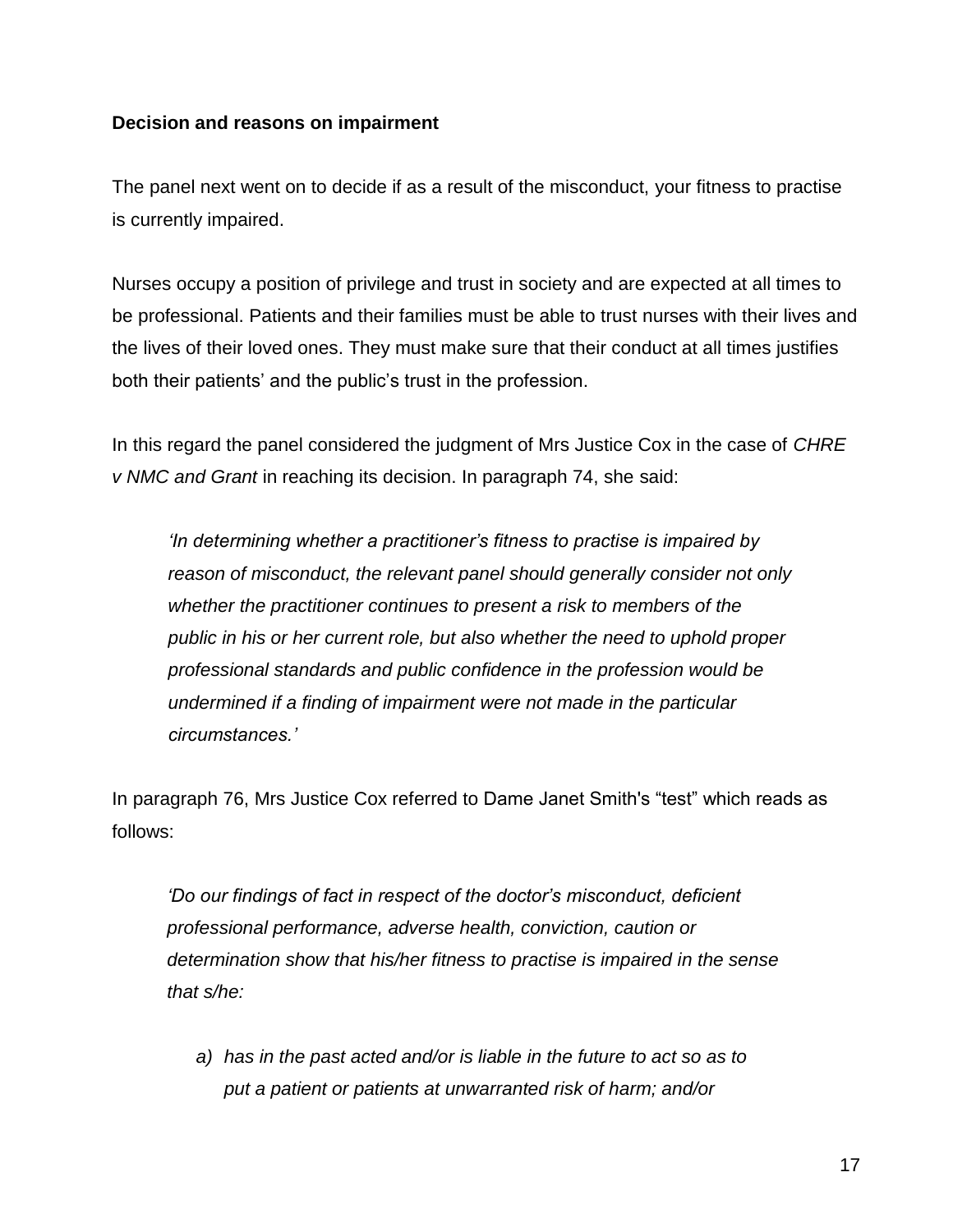### **Decision and reasons on impairment**

The panel next went on to decide if as a result of the misconduct, your fitness to practise is currently impaired.

Nurses occupy a position of privilege and trust in society and are expected at all times to be professional. Patients and their families must be able to trust nurses with their lives and the lives of their loved ones. They must make sure that their conduct at all times justifies both their patients' and the public's trust in the profession.

In this regard the panel considered the judgment of Mrs Justice Cox in the case of *CHRE v NMC and Grant* in reaching its decision. In paragraph 74, she said:

*'In determining whether a practitioner's fitness to practise is impaired by reason of misconduct, the relevant panel should generally consider not only whether the practitioner continues to present a risk to members of the public in his or her current role, but also whether the need to uphold proper professional standards and public confidence in the profession would be undermined if a finding of impairment were not made in the particular circumstances.'*

In paragraph 76, Mrs Justice Cox referred to Dame Janet Smith's "test" which reads as follows:

*'Do our findings of fact in respect of the doctor's misconduct, deficient professional performance, adverse health, conviction, caution or determination show that his/her fitness to practise is impaired in the sense that s/he:*

*a) has in the past acted and/or is liable in the future to act so as to put a patient or patients at unwarranted risk of harm; and/or*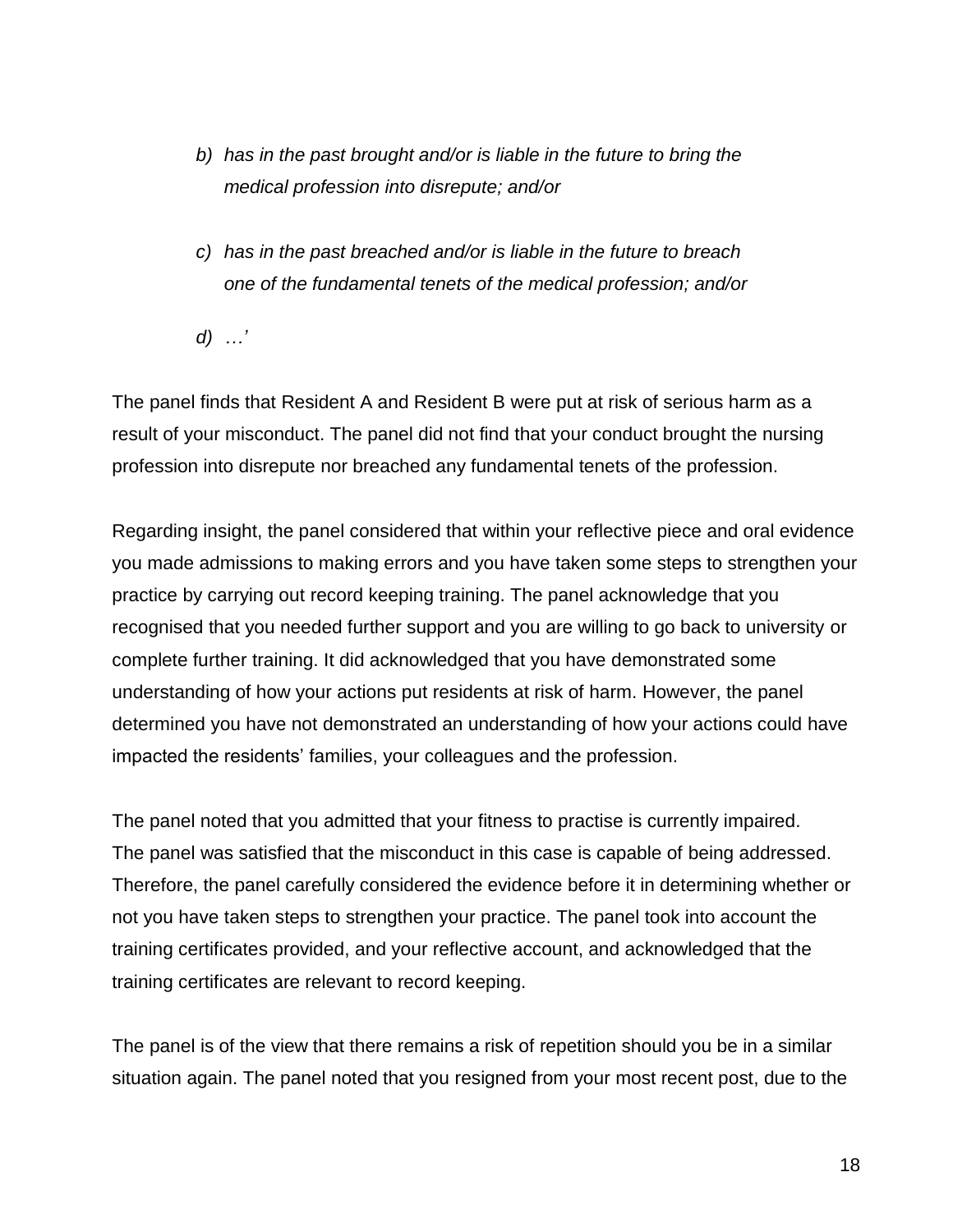- *b) has in the past brought and/or is liable in the future to bring the medical profession into disrepute; and/or*
- *c) has in the past breached and/or is liable in the future to breach one of the fundamental tenets of the medical profession; and/or*

*d) …'*

The panel finds that Resident A and Resident B were put at risk of serious harm as a result of your misconduct. The panel did not find that your conduct brought the nursing profession into disrepute nor breached any fundamental tenets of the profession.

Regarding insight, the panel considered that within your reflective piece and oral evidence you made admissions to making errors and you have taken some steps to strengthen your practice by carrying out record keeping training. The panel acknowledge that you recognised that you needed further support and you are willing to go back to university or complete further training. It did acknowledged that you have demonstrated some understanding of how your actions put residents at risk of harm. However, the panel determined you have not demonstrated an understanding of how your actions could have impacted the residents' families, your colleagues and the profession.

The panel noted that you admitted that your fitness to practise is currently impaired. The panel was satisfied that the misconduct in this case is capable of being addressed. Therefore, the panel carefully considered the evidence before it in determining whether or not you have taken steps to strengthen your practice. The panel took into account the training certificates provided, and your reflective account, and acknowledged that the training certificates are relevant to record keeping.

The panel is of the view that there remains a risk of repetition should you be in a similar situation again. The panel noted that you resigned from your most recent post, due to the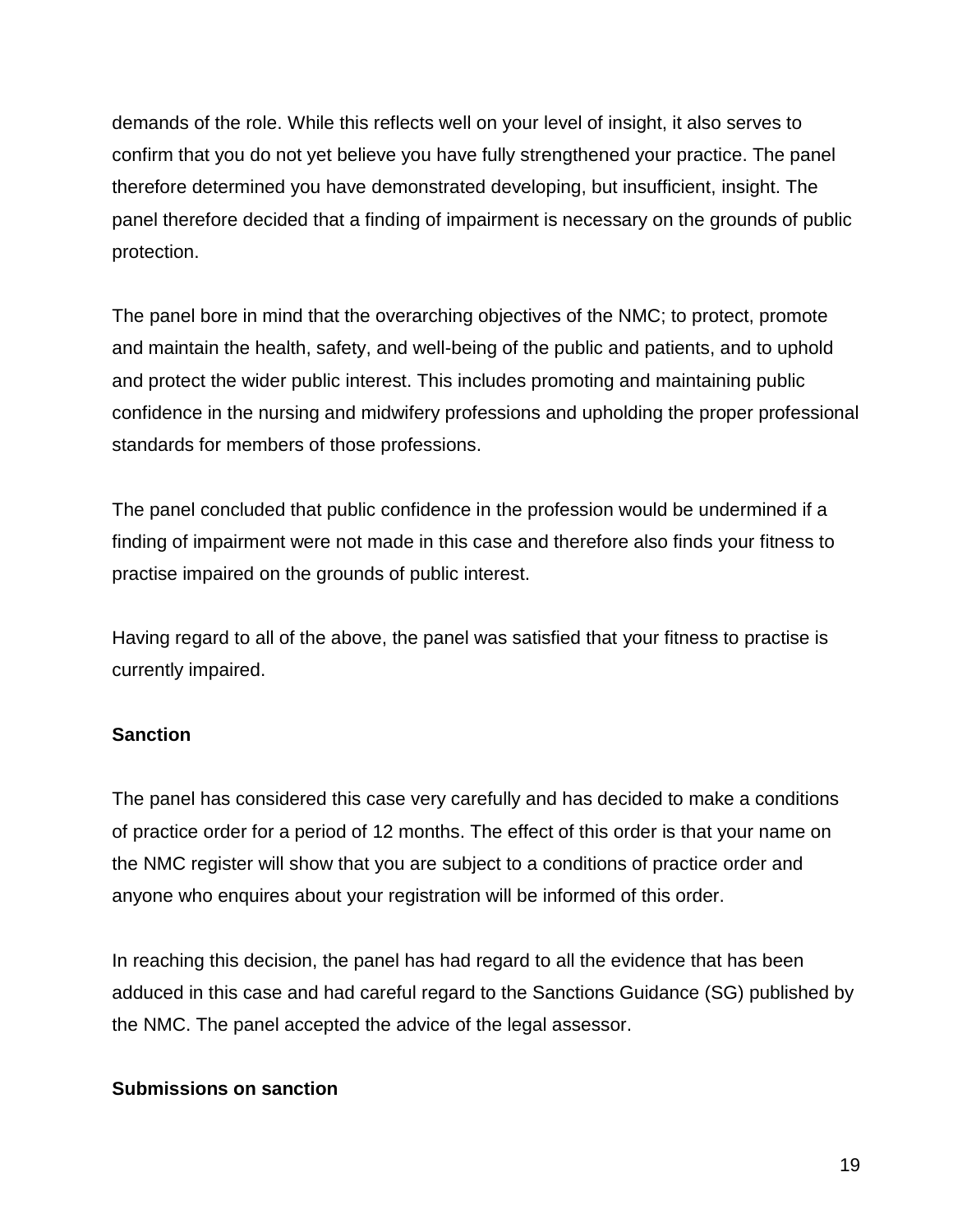demands of the role. While this reflects well on your level of insight, it also serves to confirm that you do not yet believe you have fully strengthened your practice. The panel therefore determined you have demonstrated developing, but insufficient, insight. The panel therefore decided that a finding of impairment is necessary on the grounds of public protection.

The panel bore in mind that the overarching objectives of the NMC; to protect, promote and maintain the health, safety, and well-being of the public and patients, and to uphold and protect the wider public interest. This includes promoting and maintaining public confidence in the nursing and midwifery professions and upholding the proper professional standards for members of those professions.

The panel concluded that public confidence in the profession would be undermined if a finding of impairment were not made in this case and therefore also finds your fitness to practise impaired on the grounds of public interest.

Having regard to all of the above, the panel was satisfied that your fitness to practise is currently impaired.

### **Sanction**

The panel has considered this case very carefully and has decided to make a conditions of practice order for a period of 12 months. The effect of this order is that your name on the NMC register will show that you are subject to a conditions of practice order and anyone who enquires about your registration will be informed of this order.

In reaching this decision, the panel has had regard to all the evidence that has been adduced in this case and had careful regard to the Sanctions Guidance (SG) published by the NMC. The panel accepted the advice of the legal assessor.

#### **Submissions on sanction**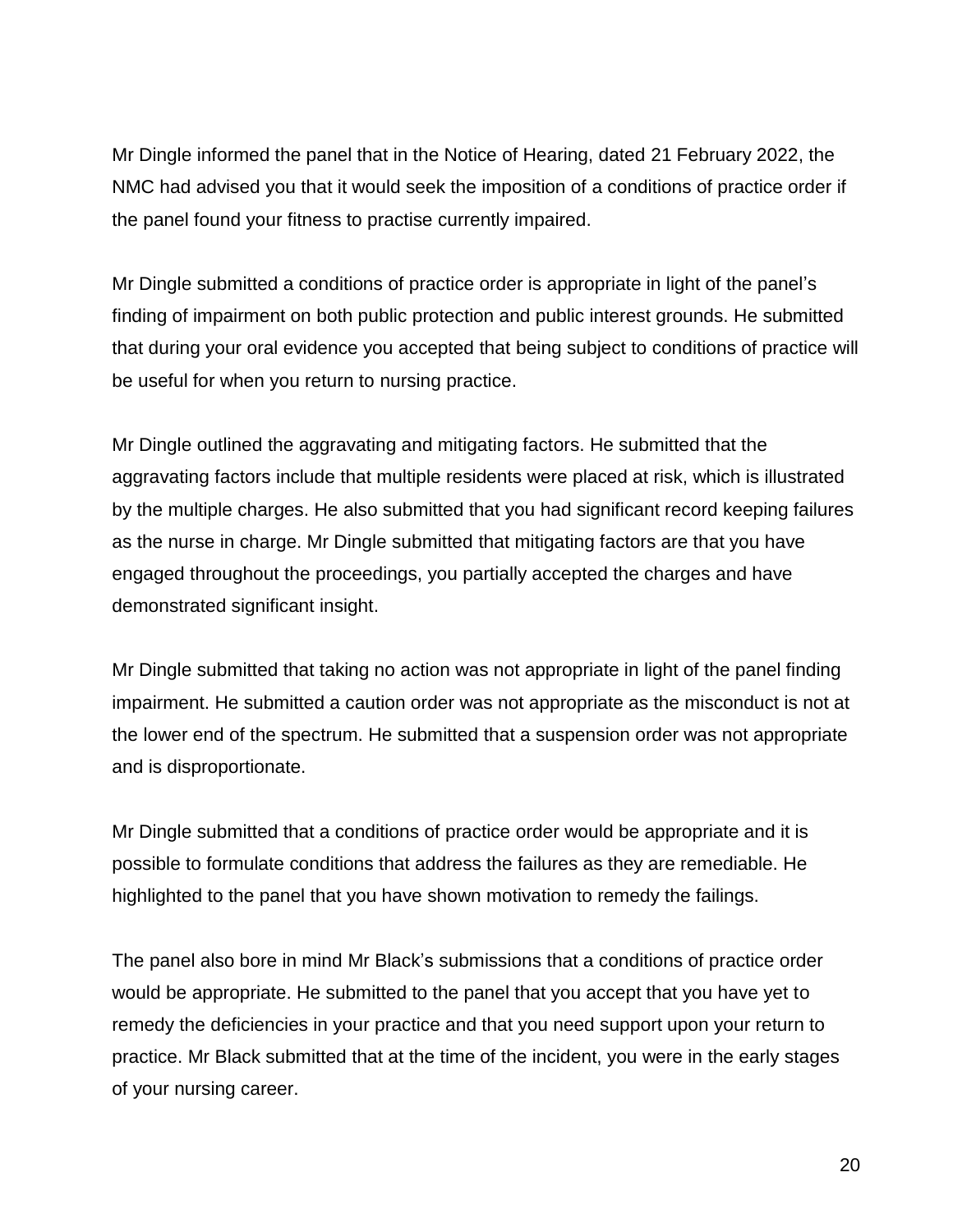Mr Dingle informed the panel that in the Notice of Hearing, dated 21 February 2022, the NMC had advised you that it would seek the imposition of a conditions of practice order if the panel found your fitness to practise currently impaired.

Mr Dingle submitted a conditions of practice order is appropriate in light of the panel's finding of impairment on both public protection and public interest grounds. He submitted that during your oral evidence you accepted that being subject to conditions of practice will be useful for when you return to nursing practice.

Mr Dingle outlined the aggravating and mitigating factors. He submitted that the aggravating factors include that multiple residents were placed at risk, which is illustrated by the multiple charges. He also submitted that you had significant record keeping failures as the nurse in charge. Mr Dingle submitted that mitigating factors are that you have engaged throughout the proceedings, you partially accepted the charges and have demonstrated significant insight.

Mr Dingle submitted that taking no action was not appropriate in light of the panel finding impairment. He submitted a caution order was not appropriate as the misconduct is not at the lower end of the spectrum. He submitted that a suspension order was not appropriate and is disproportionate.

Mr Dingle submitted that a conditions of practice order would be appropriate and it is possible to formulate conditions that address the failures as they are remediable. He highlighted to the panel that you have shown motivation to remedy the failings.

The panel also bore in mind Mr Black's submissions that a conditions of practice order would be appropriate. He submitted to the panel that you accept that you have yet to remedy the deficiencies in your practice and that you need support upon your return to practice. Mr Black submitted that at the time of the incident, you were in the early stages of your nursing career.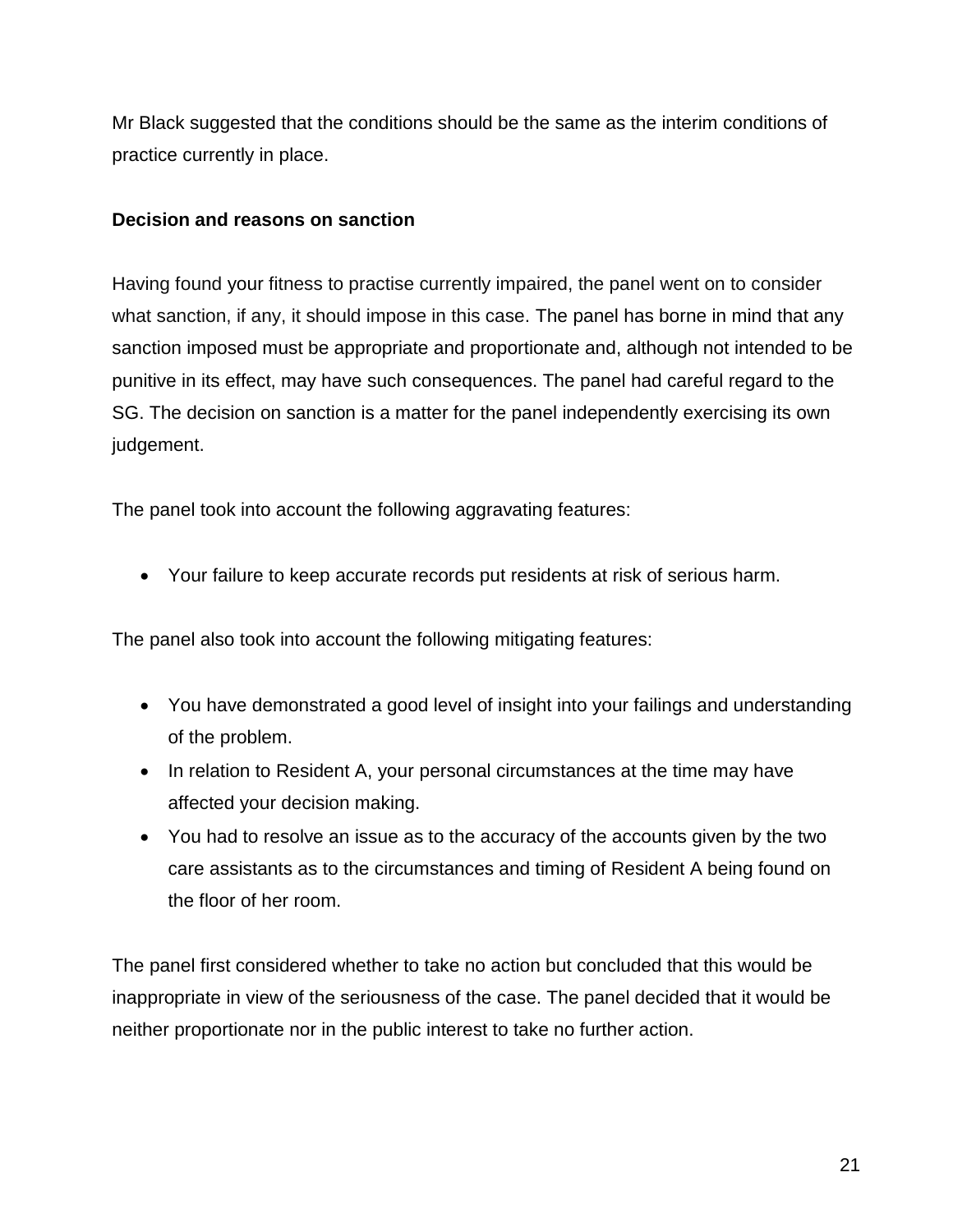Mr Black suggested that the conditions should be the same as the interim conditions of practice currently in place.

### **Decision and reasons on sanction**

Having found your fitness to practise currently impaired, the panel went on to consider what sanction, if any, it should impose in this case. The panel has borne in mind that any sanction imposed must be appropriate and proportionate and, although not intended to be punitive in its effect, may have such consequences. The panel had careful regard to the SG. The decision on sanction is a matter for the panel independently exercising its own judgement.

The panel took into account the following aggravating features:

Your failure to keep accurate records put residents at risk of serious harm.

The panel also took into account the following mitigating features:

- You have demonstrated a good level of insight into your failings and understanding of the problem.
- In relation to Resident A, your personal circumstances at the time may have affected your decision making.
- You had to resolve an issue as to the accuracy of the accounts given by the two care assistants as to the circumstances and timing of Resident A being found on the floor of her room.

The panel first considered whether to take no action but concluded that this would be inappropriate in view of the seriousness of the case. The panel decided that it would be neither proportionate nor in the public interest to take no further action.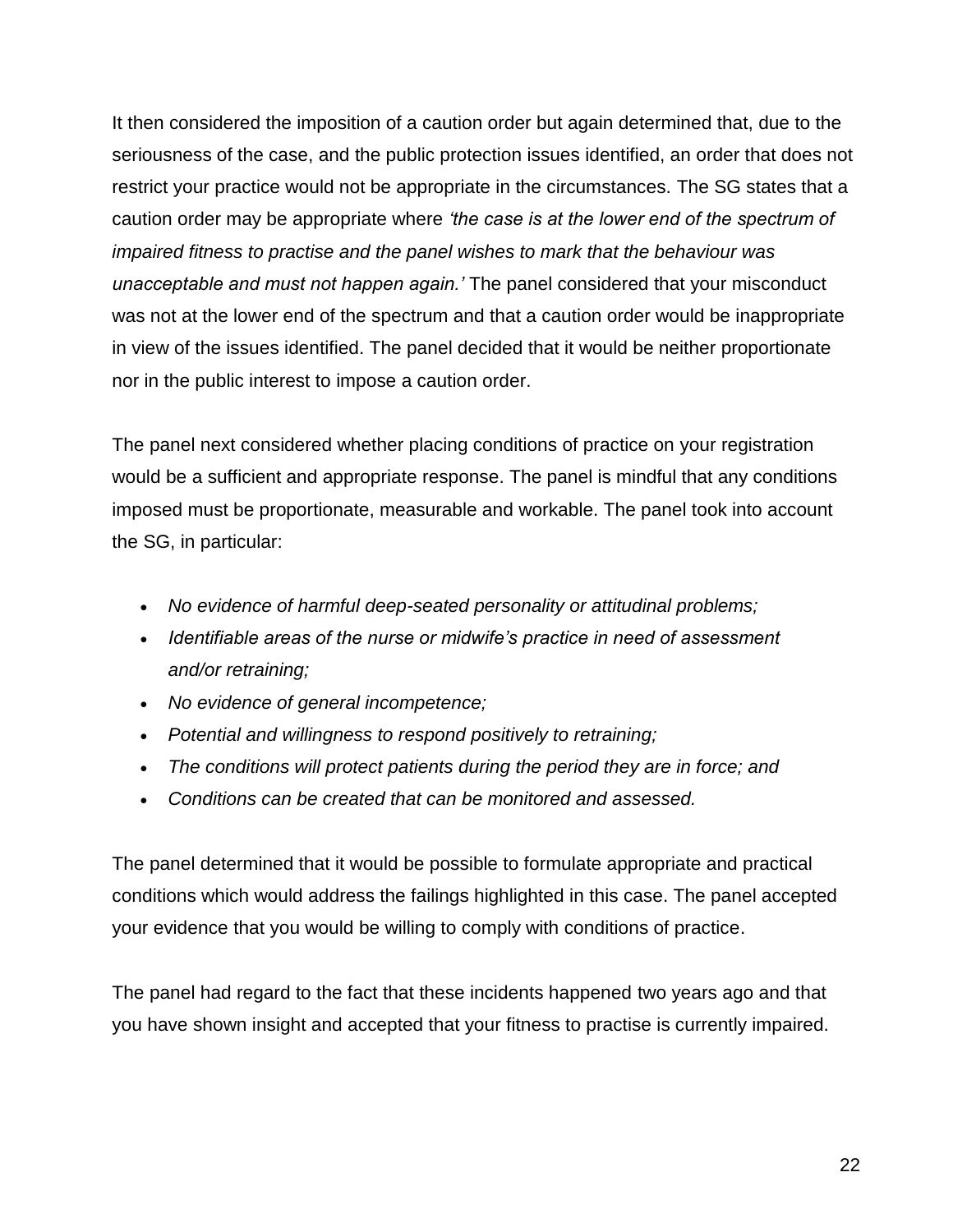It then considered the imposition of a caution order but again determined that, due to the seriousness of the case, and the public protection issues identified, an order that does not restrict your practice would not be appropriate in the circumstances. The SG states that a caution order may be appropriate where *'the case is at the lower end of the spectrum of impaired fitness to practise and the panel wishes to mark that the behaviour was unacceptable and must not happen again.'* The panel considered that your misconduct was not at the lower end of the spectrum and that a caution order would be inappropriate in view of the issues identified. The panel decided that it would be neither proportionate nor in the public interest to impose a caution order.

The panel next considered whether placing conditions of practice on your registration would be a sufficient and appropriate response. The panel is mindful that any conditions imposed must be proportionate, measurable and workable. The panel took into account the SG, in particular:

- *No evidence of harmful deep-seated personality or attitudinal problems;*
- *Identifiable areas of the nurse or midwife's practice in need of assessment and/or retraining;*
- *No evidence of general incompetence;*
- *Potential and willingness to respond positively to retraining;*
- *The conditions will protect patients during the period they are in force; and*
- *Conditions can be created that can be monitored and assessed.*

The panel determined that it would be possible to formulate appropriate and practical conditions which would address the failings highlighted in this case. The panel accepted your evidence that you would be willing to comply with conditions of practice.

The panel had regard to the fact that these incidents happened two years ago and that you have shown insight and accepted that your fitness to practise is currently impaired.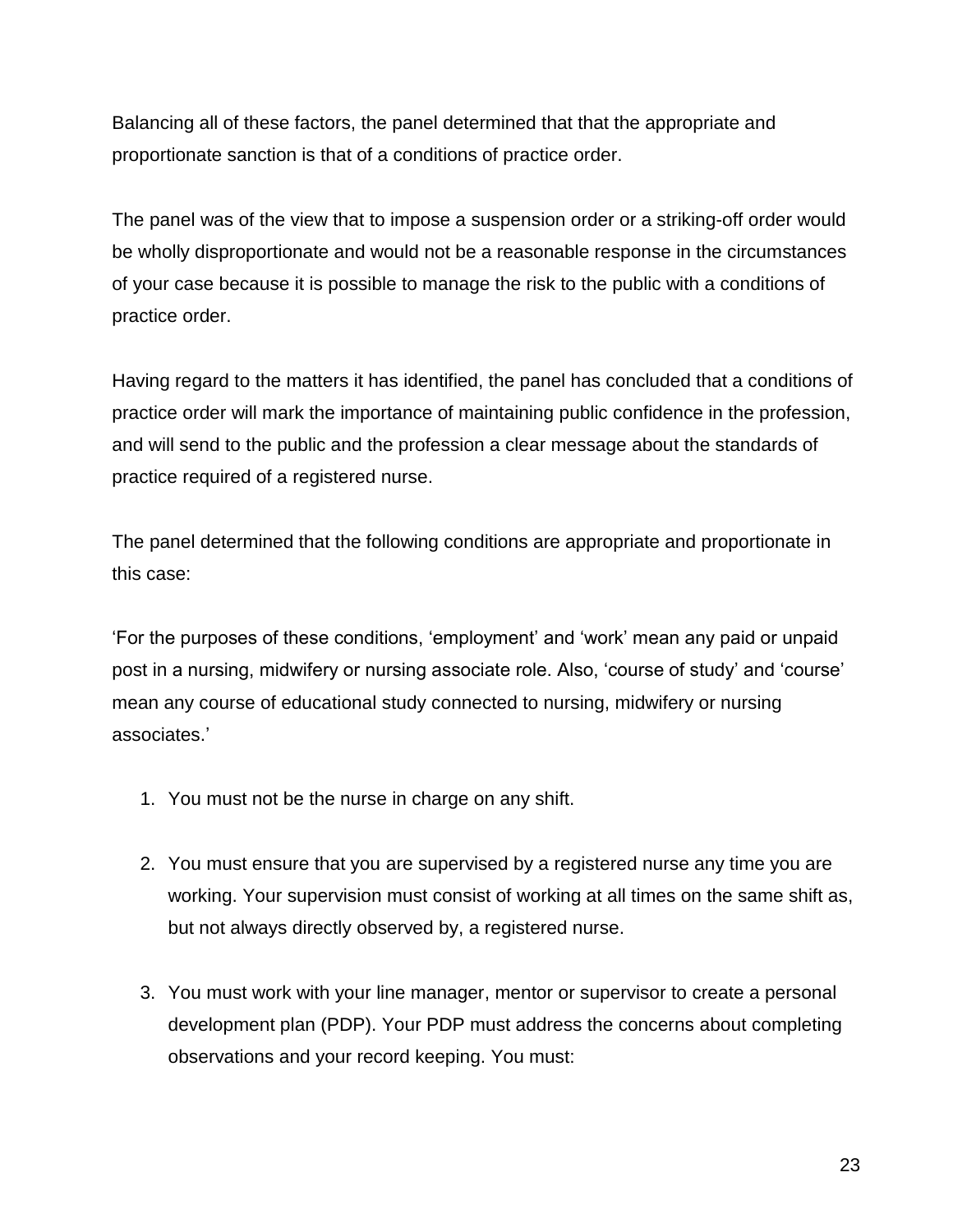Balancing all of these factors, the panel determined that that the appropriate and proportionate sanction is that of a conditions of practice order.

The panel was of the view that to impose a suspension order or a striking-off order would be wholly disproportionate and would not be a reasonable response in the circumstances of your case because it is possible to manage the risk to the public with a conditions of practice order.

Having regard to the matters it has identified, the panel has concluded that a conditions of practice order will mark the importance of maintaining public confidence in the profession, and will send to the public and the profession a clear message about the standards of practice required of a registered nurse.

The panel determined that the following conditions are appropriate and proportionate in this case:

'For the purposes of these conditions, 'employment' and 'work' mean any paid or unpaid post in a nursing, midwifery or nursing associate role. Also, 'course of study' and 'course' mean any course of educational study connected to nursing, midwifery or nursing associates.'

- 1. You must not be the nurse in charge on any shift.
- 2. You must ensure that you are supervised by a registered nurse any time you are working. Your supervision must consist of working at all times on the same shift as, but not always directly observed by, a registered nurse.
- 3. You must work with your line manager, mentor or supervisor to create a personal development plan (PDP). Your PDP must address the concerns about completing observations and your record keeping. You must: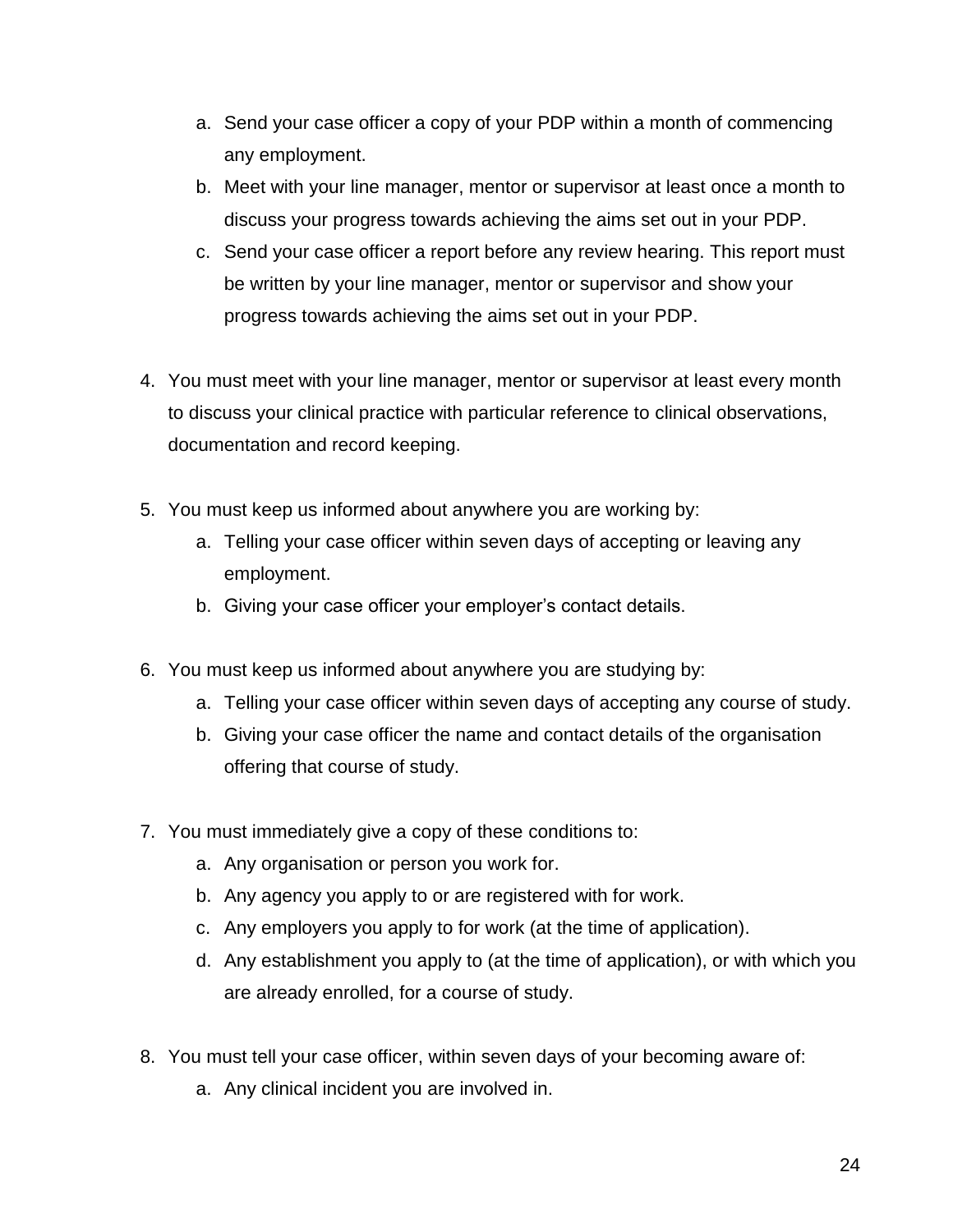- a. Send your case officer a copy of your PDP within a month of commencing any employment.
- b. Meet with your line manager, mentor or supervisor at least once a month to discuss your progress towards achieving the aims set out in your PDP.
- c. Send your case officer a report before any review hearing. This report must be written by your line manager, mentor or supervisor and show your progress towards achieving the aims set out in your PDP.
- 4. You must meet with your line manager, mentor or supervisor at least every month to discuss your clinical practice with particular reference to clinical observations, documentation and record keeping.
- 5. You must keep us informed about anywhere you are working by:
	- a. Telling your case officer within seven days of accepting or leaving any employment.
	- b. Giving your case officer your employer's contact details.
- 6. You must keep us informed about anywhere you are studying by:
	- a. Telling your case officer within seven days of accepting any course of study.
	- b. Giving your case officer the name and contact details of the organisation offering that course of study.
- 7. You must immediately give a copy of these conditions to:
	- a. Any organisation or person you work for.
	- b. Any agency you apply to or are registered with for work.
	- c. Any employers you apply to for work (at the time of application).
	- d. Any establishment you apply to (at the time of application), or with which you are already enrolled, for a course of study.
- 8. You must tell your case officer, within seven days of your becoming aware of:
	- a. Any clinical incident you are involved in.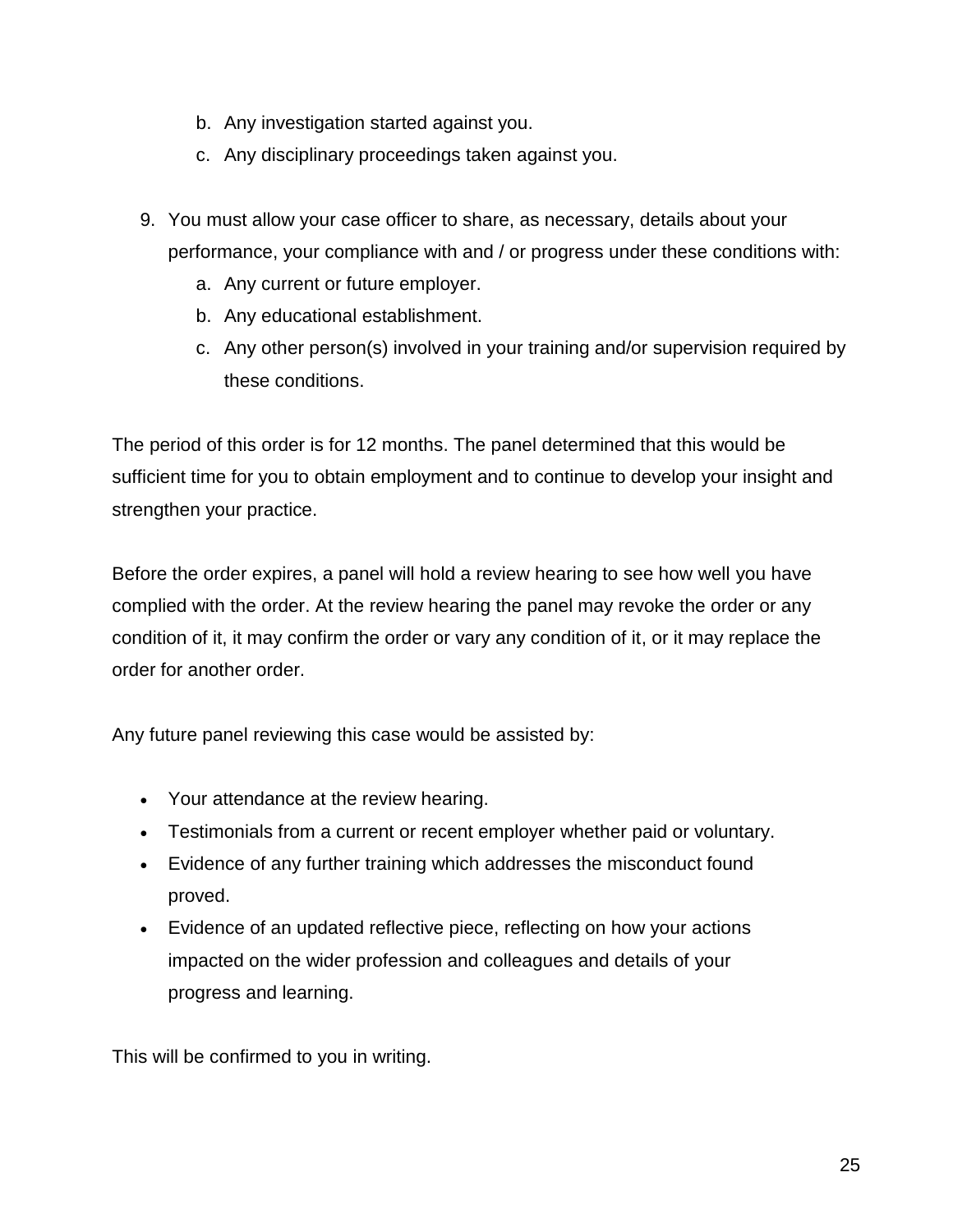- b. Any investigation started against you.
- c. Any disciplinary proceedings taken against you.
- 9. You must allow your case officer to share, as necessary, details about your performance, your compliance with and / or progress under these conditions with:
	- a. Any current or future employer.
	- b. Any educational establishment.
	- c. Any other person(s) involved in your training and/or supervision required by these conditions.

The period of this order is for 12 months. The panel determined that this would be sufficient time for you to obtain employment and to continue to develop your insight and strengthen your practice.

Before the order expires, a panel will hold a review hearing to see how well you have complied with the order. At the review hearing the panel may revoke the order or any condition of it, it may confirm the order or vary any condition of it, or it may replace the order for another order.

Any future panel reviewing this case would be assisted by:

- Your attendance at the review hearing.
- Testimonials from a current or recent employer whether paid or voluntary.
- Evidence of any further training which addresses the misconduct found proved.
- Evidence of an updated reflective piece, reflecting on how your actions impacted on the wider profession and colleagues and details of your progress and learning.

This will be confirmed to you in writing.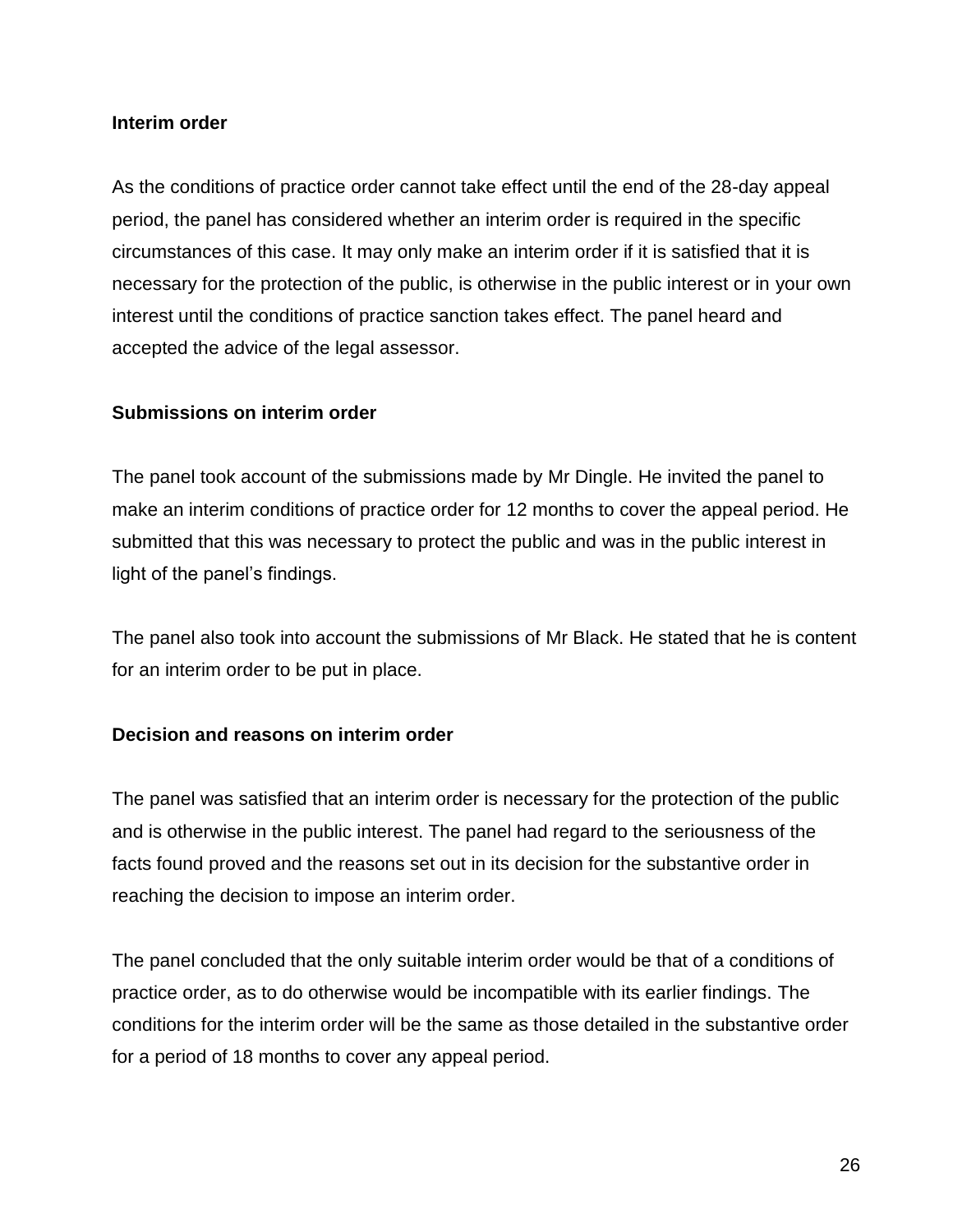#### **Interim order**

As the conditions of practice order cannot take effect until the end of the 28-day appeal period, the panel has considered whether an interim order is required in the specific circumstances of this case. It may only make an interim order if it is satisfied that it is necessary for the protection of the public, is otherwise in the public interest or in your own interest until the conditions of practice sanction takes effect. The panel heard and accepted the advice of the legal assessor.

#### **Submissions on interim order**

The panel took account of the submissions made by Mr Dingle. He invited the panel to make an interim conditions of practice order for 12 months to cover the appeal period. He submitted that this was necessary to protect the public and was in the public interest in light of the panel's findings.

The panel also took into account the submissions of Mr Black. He stated that he is content for an interim order to be put in place.

### **Decision and reasons on interim order**

The panel was satisfied that an interim order is necessary for the protection of the public and is otherwise in the public interest. The panel had regard to the seriousness of the facts found proved and the reasons set out in its decision for the substantive order in reaching the decision to impose an interim order.

The panel concluded that the only suitable interim order would be that of a conditions of practice order, as to do otherwise would be incompatible with its earlier findings. The conditions for the interim order will be the same as those detailed in the substantive order for a period of 18 months to cover any appeal period.